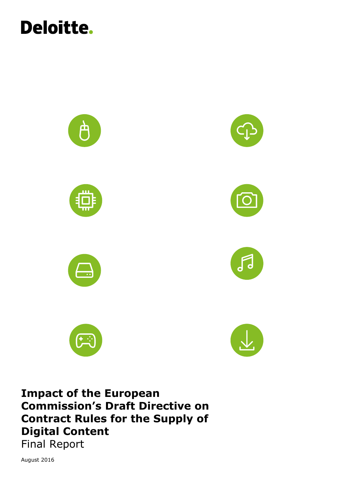



**Impact of the European Commission's Draft Directive on Contract Rules for the Supply of Digital Content** Final Report

August 2016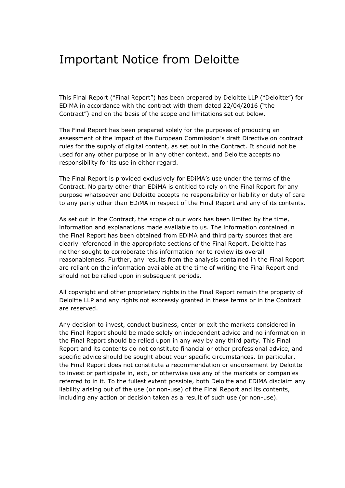## Important Notice from Deloitte

This Final Report ("Final Report") has been prepared by Deloitte LLP ("Deloitte") for EDiMA in accordance with the contract with them dated 22/04/2016 ("the Contract") and on the basis of the scope and limitations set out below.

The Final Report has been prepared solely for the purposes of producing an assessment of the impact of the European Commission's draft Directive on contract rules for the supply of digital content, as set out in the Contract. It should not be used for any other purpose or in any other context, and Deloitte accepts no responsibility for its use in either regard.

The Final Report is provided exclusively for EDiMA's use under the terms of the Contract. No party other than EDiMA is entitled to rely on the Final Report for any purpose whatsoever and Deloitte accepts no responsibility or liability or duty of care to any party other than EDiMA in respect of the Final Report and any of its contents.

As set out in the Contract, the scope of our work has been limited by the time, information and explanations made available to us. The information contained in the Final Report has been obtained from EDiMA and third party sources that are clearly referenced in the appropriate sections of the Final Report. Deloitte has neither sought to corroborate this information nor to review its overall reasonableness. Further, any results from the analysis contained in the Final Report are reliant on the information available at the time of writing the Final Report and should not be relied upon in subsequent periods.

All copyright and other proprietary rights in the Final Report remain the property of Deloitte LLP and any rights not expressly granted in these terms or in the Contract are reserved.

Any decision to invest, conduct business, enter or exit the markets considered in the Final Report should be made solely on independent advice and no information in the Final Report should be relied upon in any way by any third party. This Final Report and its contents do not constitute financial or other professional advice, and specific advice should be sought about your specific circumstances. In particular, the Final Report does not constitute a recommendation or endorsement by Deloitte to invest or participate in, exit, or otherwise use any of the markets or companies referred to in it. To the fullest extent possible, both Deloitte and EDiMA disclaim any liability arising out of the use (or non-use) of the Final Report and its contents, including any action or decision taken as a result of such use (or non-use).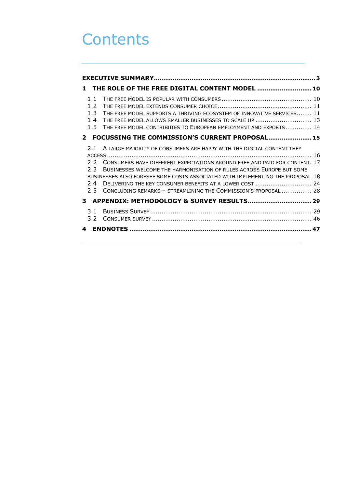## **Contents**

|                                    |                       | 1 THE ROLE OF THE FREE DIGITAL CONTENT MODEL  10                                                                                                                                                                                                                                                                                                                                                                                                      |  |  |  |  |  |  |
|------------------------------------|-----------------------|-------------------------------------------------------------------------------------------------------------------------------------------------------------------------------------------------------------------------------------------------------------------------------------------------------------------------------------------------------------------------------------------------------------------------------------------------------|--|--|--|--|--|--|
| 1.1<br>$1.2^{\circ}$<br>1.3<br>1.4 |                       | THE FREE MODEL SUPPORTS A THRIVING ECOSYSTEM OF INNOVATIVE SERVICES 11<br>THE FREE MODEL ALLOWS SMALLER BUSINESSES TO SCALE UP  13<br>1.5 THE FREE MODEL CONTRIBUTES TO EUROPEAN EMPLOYMENT AND EXPORTS 14                                                                                                                                                                                                                                            |  |  |  |  |  |  |
|                                    |                       | 2 FOCUSSING THE COMMISSION'S CURRENT PROPOSAL 15                                                                                                                                                                                                                                                                                                                                                                                                      |  |  |  |  |  |  |
|                                    | 2.3<br>2.4<br>$2.5 -$ | 2.1 A LARGE MAJORITY OF CONSUMERS ARE HAPPY WITH THE DIGITAL CONTENT THEY<br>2.2 CONSUMERS HAVE DIFFERENT EXPECTATIONS AROUND FREE AND PAID FOR CONTENT. 17<br>BUSINESSES WELCOME THE HARMONISATION OF RULES ACROSS EUROPE BUT SOME<br>BUSINESSES ALSO FORESEE SOME COSTS ASSOCIATED WITH IMPLEMENTING THE PROPOSAL 18<br>DELIVERING THE KEY CONSUMER BENEFITS AT A LOWER COST  24<br>CONCLUDING REMARKS - STREAMLINING THE COMMISSION'S PROPOSAL  28 |  |  |  |  |  |  |
|                                    |                       |                                                                                                                                                                                                                                                                                                                                                                                                                                                       |  |  |  |  |  |  |
| 3.1                                | 3.2                   |                                                                                                                                                                                                                                                                                                                                                                                                                                                       |  |  |  |  |  |  |
| 4                                  |                       |                                                                                                                                                                                                                                                                                                                                                                                                                                                       |  |  |  |  |  |  |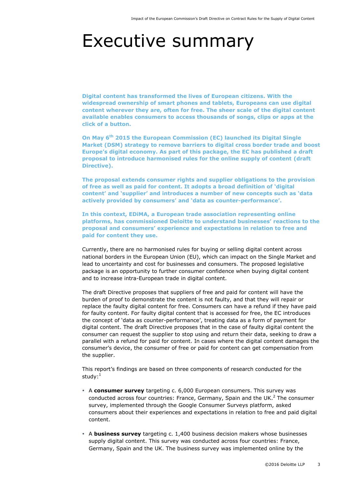## <span id="page-3-0"></span>Executive summary

**Digital content has transformed the lives of European citizens. With the widespread ownership of smart phones and tablets, Europeans can use digital content wherever they are, often for free. The sheer scale of the digital content available enables consumers to access thousands of songs, clips or apps at the click of a button.**

**On May 6th 2015 the European Commission (EC) launched its Digital Single Market (DSM) strategy to remove barriers to digital cross border trade and boost Europe's digital economy. As part of this package, the EC has published a draft proposal to introduce harmonised rules for the online supply of content (draft Directive).** 

**The proposal extends consumer rights and supplier obligations to the provision of free as well as paid for content. It adopts a broad definition of 'digital content' and 'supplier' and introduces a number of new concepts such as 'data actively provided by consumers' and 'data as counter-performance'.**

**In this context, EDiMA, a European trade association representing online platforms, has commissioned Deloitte to understand businesses' reactions to the proposal and consumers' experience and expectations in relation to free and paid for content they use.**

Currently, there are no harmonised rules for buying or selling digital content across national borders in the European Union (EU), which can impact on the Single Market and lead to uncertainty and cost for businesses and consumers. The proposed legislative package is an opportunity to further consumer confidence when buying digital content and to increase intra-European trade in digital content.

The draft Directive proposes that suppliers of free and paid for content will have the burden of proof to demonstrate the content is not faulty, and that they will repair or replace the faulty digital content for free. Consumers can have a refund if they have paid for faulty content. For faulty digital content that is accessed for free, the EC introduces the concept of 'data as counter-performance', treating data as a form of payment for digital content. The draft Directive proposes that in the case of faulty digital content the consumer can request the supplier to stop using and return their data, seeking to draw a parallel with a refund for paid for content. In cases where the digital content damages the consumer's device, the consumer of free or paid for content can get compensation from the supplier.

This report's findings are based on three components of research conducted for the study:<sup>1</sup>

- A **consumer survey** targeting c. 6,000 European consumers. This survey was conducted across four countries: France, Germany, Spain and the UK.<sup>2</sup> The consumer survey, implemented through the Google Consumer Surveys platform, asked consumers about their experiences and expectations in relation to free and paid digital content.
- A **business survey** targeting c. 1,400 business decision makers whose businesses supply digital content. This survey was conducted across four countries: France, Germany, Spain and the UK. The business survey was implemented online by the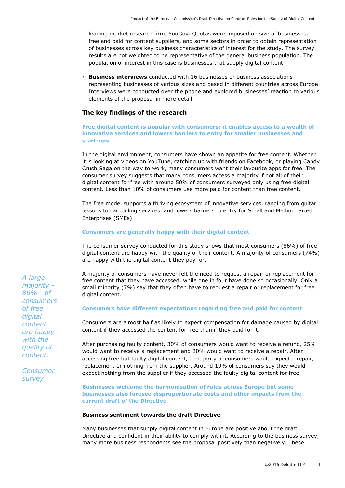leading market research firm, YouGov. Quotas were imposed on size of businesses, free and paid for content suppliers, and some sectors in order to obtain representation of businesses across key business characteristics of interest for the study. The survey results are not weighted to be representative of the general business population. The population of interest in this case is businesses that supply digital content.

 **Business interviews** conducted with 16 businesses or business associations representing businesses of various sizes and based in different countries across Europe. Interviews were conducted over the phone and explored businesses' reaction to various elements of the proposal in more detail.

## **The key findings of the research**

## **Free digital content is popular with consumers; it enables access to a wealth of innovative services and lowers barriers to entry for smaller businesses and start-ups**

In the digital environment, consumers have shown an appetite for free content. Whether it is looking at videos on YouTube, catching up with friends on Facebook, or playing Candy Crush Saga on the way to work, many consumers want their favourite apps for free. The consumer survey suggests that many consumers access a majority if not all of their digital content for free with around 50% of consumers surveyed only using free digital content. Less than 10% of consumers use more paid for content than free content.

The free model supports a thriving ecosystem of innovative services, ranging from guitar lessons to carpooling services, and lowers barriers to entry for Small and Medium Sized Enterprises (SMEs).

## **Consumers are generally happy with their digital content**

The consumer survey conducted for this study shows that most consumers (86%) of free digital content are happy with the quality of their content. A majority of consumers (74%) are happy with the digital content they pay for.

A majority of consumers have never felt the need to request a repair or replacement for free content that they have accessed, while one in four have done so occasionally. Only a small minority (7%) say that they often have to request a repair or replacement for free digital content.

## **Consumers have different expectations regarding free and paid for content**

Consumers are almost half as likely to expect compensation for damage caused by digital content if they accessed the content for free than if they paid for it.

After purchasing faulty content, 30% of consumers would want to receive a refund, 25% would want to receive a replacement and 20% would want to receive a repair. After accessing free but faulty digital content, a majority of consumers would expect a repair, replacement or nothing from the supplier. Around 19% of consumers say they would expect nothing from the supplier if they accessed the faulty digital content for free.

**Businesses welcome the harmonisation of rules across Europe but some businesses also foresee disproportionate costs and other impacts from the current draft of the Directive**

#### **Business sentiment towards the draft Directive**

Many businesses that supply digital content in Europe are positive about the draft Directive and confident in their ability to comply with it. According to the business survey, many more business respondents see the proposal positively than negatively. These

*A large majority - 86% - of consumers of free digital content are happy with the quality of content.*

*Consumer survey*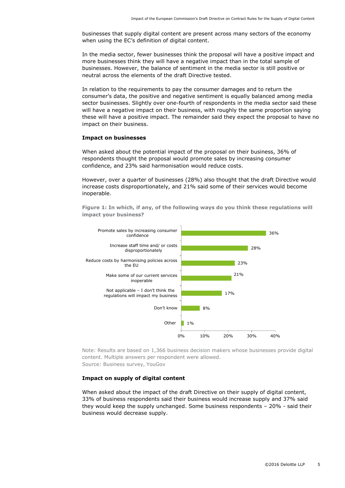businesses that supply digital content are present across many sectors of the economy when using the EC's definition of digital content.

In the media sector, fewer businesses think the proposal will have a positive impact and more businesses think they will have a negative impact than in the total sample of businesses. However, the balance of sentiment in the media sector is still positive or neutral across the elements of the draft Directive tested.

In relation to the requirements to pay the consumer damages and to return the consumer's data, the positive and negative sentiment is equally balanced among media sector businesses. Slightly over one-fourth of respondents in the media sector said these will have a negative impact on their business, with roughly the same proportion saying these will have a positive impact. The remainder said they expect the proposal to have no impact on their business.

#### **Impact on businesses**

When asked about the potential impact of the proposal on their business, 36% of respondents thought the proposal would promote sales by increasing consumer confidence, and 23% said harmonisation would reduce costs.

However, over a quarter of businesses (28%) also thought that the draft Directive would increase costs disproportionately, and 21% said some of their services would become inoperable.

**Figure 1: In which, if any, of the following ways do you think these regulations will impact your business?**



Note: Results are based on 1,366 business decision makers whose businesses provide digital content. Multiple answers per respondent were allowed. Source: Business survey, YouGov

#### **Impact on supply of digital content**

When asked about the impact of the draft Directive on their supply of digital content, 33% of business respondents said their business would increase supply and 37% said they would keep the supply unchanged. Some business respondents – 20% - said their business would decrease supply.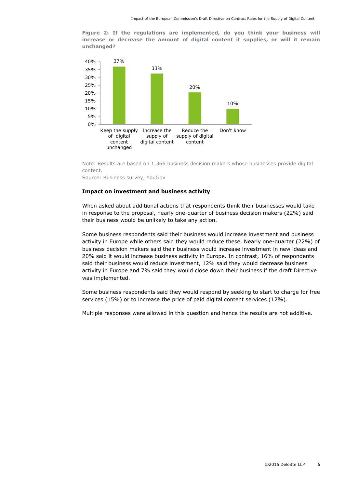**Figure 2: If the regulations are implemented, do you think your business will increase or decrease the amount of digital content it supplies, or will it remain unchanged?**



Note: Results are based on 1,366 business decision makers whose businesses provide digital content.

Source: Business survey, YouGov

#### **Impact on investment and business activity**

When asked about additional actions that respondents think their businesses would take in response to the proposal, nearly one-quarter of business decision makers (22%) said their business would be unlikely to take any action.

Some business respondents said their business would increase investment and business activity in Europe while others said they would reduce these. Nearly one-quarter (22%) of business decision makers said their business would increase investment in new ideas and 20% said it would increase business activity in Europe. In contrast, 16% of respondents said their business would reduce investment, 12% said they would decrease business activity in Europe and 7% said they would close down their business if the draft Directive was implemented.

Some business respondents said they would respond by seeking to start to charge for free services (15%) or to increase the price of paid digital content services (12%).

Multiple responses were allowed in this question and hence the results are not additive.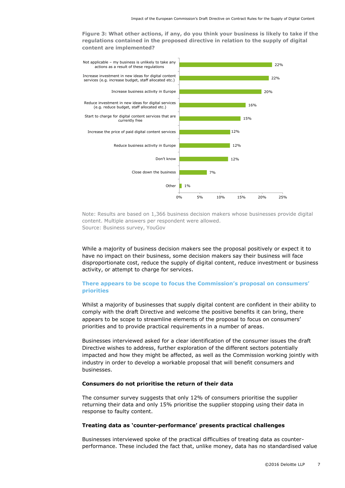**Figure 3: What other actions, if any, do you think your business is likely to take if the regulations contained in the proposed directive in relation to the supply of digital content are implemented?** 



Note: Results are based on 1,366 business decision makers whose businesses provide digital content. Multiple answers per respondent were allowed. Source: Business survey, YouGov

While a majority of business decision makers see the proposal positively or expect it to have no impact on their business, some decision makers say their business will face disproportionate cost, reduce the supply of digital content, reduce investment or business activity, or attempt to charge for services.

## **There appears to be scope to focus the Commission's proposal on consumers' priorities**

Whilst a majority of businesses that supply digital content are confident in their ability to comply with the draft Directive and welcome the positive benefits it can bring, there appears to be scope to streamline elements of the proposal to focus on consumers' priorities and to provide practical requirements in a number of areas.

Businesses interviewed asked for a clear identification of the consumer issues the draft Directive wishes to address, further exploration of the different sectors potentially impacted and how they might be affected, as well as the Commission working jointly with industry in order to develop a workable proposal that will benefit consumers and businesses.

#### **Consumers do not prioritise the return of their data**

The consumer survey suggests that only 12% of consumers prioritise the supplier returning their data and only 15% prioritise the supplier stopping using their data in response to faulty content.

#### **Treating data as 'counter-performance' presents practical challenges**

Businesses interviewed spoke of the practical difficulties of treating data as counterperformance. These included the fact that, unlike money, data has no standardised value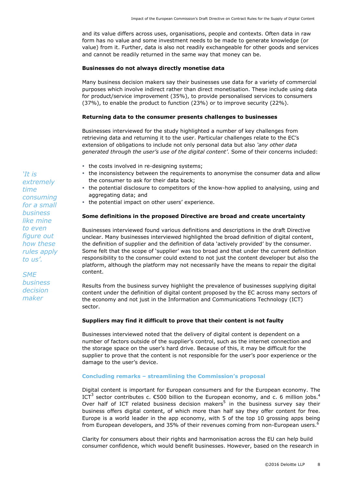and its value differs across uses, organisations, people and contexts. Often data in raw form has no value and some investment needs to be made to generate knowledge (or value) from it. Further, data is also not readily exchangeable for other goods and services and cannot be readily returned in the same way that money can be.

#### **Businesses do not always directly monetise data**

Many business decision makers say their businesses use data for a variety of commercial purposes which involve indirect rather than direct monetisation. These include using data for product/service improvement (35%), to provide personalised services to consumers (37%), to enable the product to function (23%) or to improve security (22%).

## **Returning data to the consumer presents challenges to businesses**

Businesses interviewed for the study highlighted a number of key challenges from retrieving data and returning it to the user. Particular challenges relate to the EC's extension of obligations to include not only personal data but also *'any other data generated through the user's use of the digital content'*. Some of their concerns included:

- the costs involved in re-designing systems;
- the inconsistency between the requirements to anonymise the consumer data and allow the consumer to ask for their data back;
- the potential disclosure to competitors of the know-how applied to analysing, using and aggregating data; and
- the potential impact on other users' experience.

### **Some definitions in the proposed Directive are broad and create uncertainty**

Businesses interviewed found various definitions and descriptions in the draft Directive unclear. Many businesses interviewed highlighted the broad definition of digital content, the definition of supplier and the definition of data 'actively provided' by the consumer. Some felt that the scope of 'supplier' was too broad and that under the current definition responsibility to the consumer could extend to not just the content developer but also the platform, although the platform may not necessarily have the means to repair the digital content.

Results from the business survey highlight the prevalence of businesses supplying digital content under the definition of digital content proposed by the EC across many sectors of the economy and not just in the Information and Communications Technology (ICT) sector.

## **Suppliers may find it difficult to prove that their content is not faulty**

Businesses interviewed noted that the delivery of digital content is dependent on a number of factors outside of the supplier's control, such as the internet connection and the storage space on the user's hard drive. Because of this, it may be difficult for the supplier to prove that the content is not responsible for the user's poor experience or the damage to the user's device.

#### **Concluding remarks – streamlining the Commission's proposal**

Digital content is important for European consumers and for the European economy. The ICT<sup>3</sup> sector contributes c.  $\epsilon$ 500 billion to the European economy, and c. 6 million jobs.<sup>4</sup> Over half of ICT related business decision makers<sup>5</sup> in the business survey say their business offers digital content, of which more than half say they offer content for free. Europe is a world leader in the app economy, with 5 of the top 10 grossing apps being from European developers, and 35% of their revenues coming from non-European users.<sup>6</sup>

Clarity for consumers about their rights and harmonisation across the EU can help build consumer confidence, which would benefit businesses. However, based on the research in

*'It is extremely time consuming for a small business like mine to even figure out how these rules apply to us'.*

*SME business decision maker*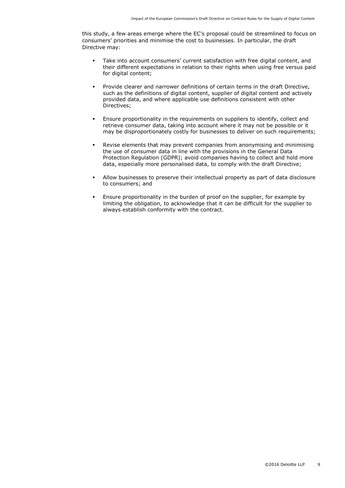this study, a few areas emerge where the EC's proposal could be streamlined to focus on consumers' priorities and minimise the cost to businesses. In particular, the draft Directive may:

- Take into account consumers' current satisfaction with free digital content, and their different expectations in relation to their rights when using free versus paid for digital content;
- Provide clearer and narrower definitions of certain terms in the draft Directive, such as the definitions of digital content, supplier of digital content and actively provided data, and where applicable use definitions consistent with other Directives;
- Ensure proportionality in the requirements on suppliers to identify, collect and retrieve consumer data, taking into account where it may not be possible or it may be disproportionately costly for businesses to deliver on such requirements;
- Revise elements that may prevent companies from anonymising and minimising the use of consumer data in line with the provisions in the General Data Protection Regulation (GDPR); avoid companies having to collect and hold more data, especially more personalised data, to comply with the draft Directive;
- Allow businesses to preserve their intellectual property as part of data disclosure to consumers; and
- Ensure proportionality in the burden of proof on the supplier, for example by limiting the obligation, to acknowledge that it can be difficult for the supplier to always establish conformity with the contract.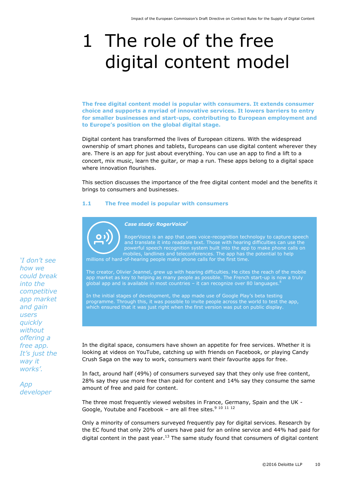# <span id="page-10-0"></span>1 The role of the free digital content model

**The free digital content model is popular with consumers. It extends consumer choice and supports a myriad of innovative services. It lowers barriers to entry for smaller businesses and start-ups, contributing to European employment and to Europe's position on the global digital stage.** 

Digital content has transformed the lives of European citizens. With the widespread ownership of smart phones and tablets, Europeans can use digital content wherever they are. There is an app for just about everything. You can use an app to find a lift to a concert, mix music, learn the guitar, or map a run. These apps belong to a digital space where innovation flourishes.

This section discusses the importance of the free digital content model and the benefits it brings to consumers and businesses.

#### <span id="page-10-1"></span>**1.1 The free model is popular with consumers**



*Case study: RogerVoice<sup>7</sup>*

RogerVoice is an app that uses voice-recognition technology to capture speech mobiles, landlines and teleconferences. The app has the potential to help millions of hard-of-hearing people make phone calls for the first time.

The creator, Olivier Jeannel, grew up with hearing difficulties. He cites the reach of the mobile app market as key to helping as many people as possible. The French start-up is now a truly global app and is available in most countries  $-$  it can recognize over 80 languages.<sup>8</sup>

In the initial stages of development, the app made use of Google Play's beta testing programme. Through this, it was possible to invite people across the world to test the app, which ensured that it was just right when the first version was put on public display.

In the digital space, consumers have shown an appetite for free services. Whether it is looking at videos on YouTube, catching up with friends on Facebook, or playing Candy Crush Saga on the way to work, consumers want their favourite apps for free.

In fact, around half (49%) of consumers surveyed say that they only use free content, 28% say they use more free than paid for content and 14% say they consume the same amount of free and paid for content.

The three most frequently viewed websites in France, Germany, Spain and the UK - Google, Youtube and Facebook – are all free sites. $9101112$ 

Only a minority of consumers surveyed frequently pay for digital services. Research by the EC found that only 20% of users have paid for an online service and 44% had paid for digital content in the past year.<sup>13</sup> The same study found that consumers of digital content

*'I don't see how we could break into the competitive app market and gain users quickly without offering a free app. It's just the way it works'.*

*App developer*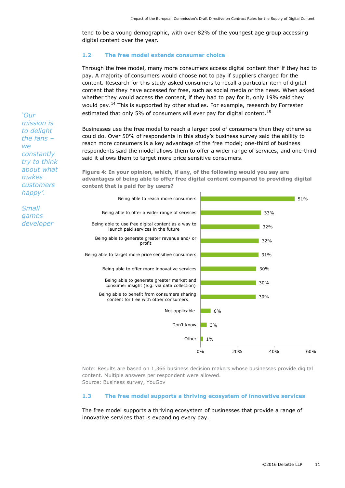tend to be a young demographic, with over 82% of the youngest age group accessing digital content over the year.

## <span id="page-11-0"></span>**1.2 The free model extends consumer choice**

Through the free model, many more consumers access digital content than if they had to pay. A majority of consumers would choose not to pay if suppliers charged for the content. Research for this study asked consumers to recall a particular item of digital content that they have accessed for free, such as social media or the news. When asked whether they would access the content, if they had to pay for it, only 19% said they would pay.<sup>14</sup> This is supported by other studies. For example, research by Forrester estimated that only 5% of consumers will ever pay for digital content.<sup>15</sup>

Businesses use the free model to reach a larger pool of consumers than they otherwise could do. Over 50% of respondents in this study's business survey said the ability to reach more consumers is a key advantage of the free model; one-third of business respondents said the model allows them to offer a wider range of services, and one-third said it allows them to target more price sensitive consumers.

**Figure 4: In your opinion, which, if any, of the following would you say are advantages of being able to offer free digital content compared to providing digital content that is paid for by users?**



Note: Results are based on 1,366 business decision makers whose businesses provide digital content. Multiple answers per respondent were allowed. Source: Business survey, YouGov

#### <span id="page-11-1"></span>**1.3 The free model supports a thriving ecosystem of innovative services**

The free model supports a thriving ecosystem of businesses that provide a range of innovative services that is expanding every day.

*'Our mission is to delight the fans –*  $W$  $\theta$ *constantly try to think about what makes customers happy'.*

*Small games developer*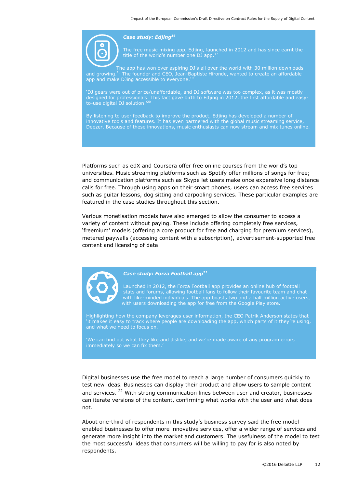

#### *Case study: Edjing<sup>16</sup>*

The free music mixing app, Edjing, launched in 2012 and has since earnt the title of the world's number one DJ app.<sup>1</sup>

The app has won over aspiring DJ's all over the world with 30 million downloads and growing.<sup>18</sup> The founder and CEO, Jean-Baptiste Hironde, wanted to create an affordable app and make DJing accessible to everyone. $19$ 

'DJ gears were out of price/unaffordable, and DJ software was too complex, as it was mostly designed for professionals. This fact gave birth to Edjing in 2012, the first affordable and easyto-use digital DJ solution.'<sup>20</sup>

By listening to user feedback to improve the product, Edjing has developed a number of innovative tools and features. It has even partnered with the global music streaming service, Deezer. Because of these innovations, music enthusiasts can now stream and mix tunes online.

Platforms such as edX and Coursera offer free online courses from the world's top universities. Music streaming platforms such as Spotify offer millions of songs for free; and communication platforms such as Skype let users make once expensive long distance calls for free. Through using apps on their smart phones, users can access free services such as guitar lessons, dog sitting and carpooling services. These particular examples are featured in the case studies throughout this section.

Various monetisation models have also emerged to allow the consumer to access a variety of content without paying. These include offering completely free services, 'freemium' models (offering a core product for free and charging for premium services), metered paywalls (accessing content with a subscription), advertisement-supported free content and licensing of data.



## *Case study: Forza Football app<sup>21</sup>*

Launched in 2012, the Forza Football app provides an online hub of football stats and forums, allowing football fans to follow their favourite team and chat with like-minded individuals. The app boasts two and a half million active users, with users downloading the app for free from the Google Play store.

Highlighting how the company leverages user information, the CEO Patrik Anderson states that 'it makes it easy to track where people are downloading the app, which parts of it they're using, and what we need to focus on.'

'We can find out what they like and dislike, and we're made aware of any program errors immediately so we can fix them.'

Digital businesses use the free model to reach a large number of consumers quickly to test new ideas. Businesses can display their product and allow users to sample content and services. <sup>22</sup> With strong communication lines between user and creator, businesses can iterate versions of the content, confirming what works with the user and what does not.

About one-third of respondents in this study's business survey said the free model enabled businesses to offer more innovative services, offer a wider range of services and generate more insight into the market and customers. The usefulness of the model to test the most successful ideas that consumers will be willing to pay for is also noted by respondents.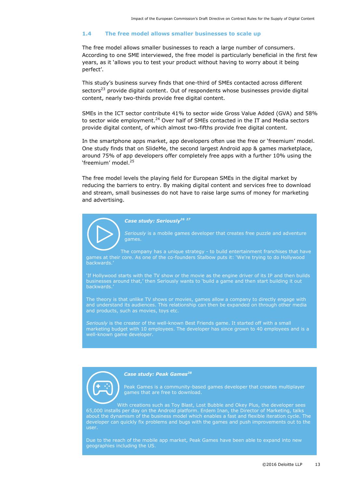#### <span id="page-13-0"></span>**1.4 The free model allows smaller businesses to scale up**

The free model allows smaller businesses to reach a large number of consumers. According to one SME interviewed, the free model is particularly beneficial in the first few years, as it 'allows you to test your product without having to worry about it being perfect'.

This study's business survey finds that one-third of SMEs contacted across different sectors<sup>23</sup> provide digital content. Out of respondents whose businesses provide digital content, nearly two-thirds provide free digital content.

SMEs in the ICT sector contribute 41% to sector wide Gross Value Added (GVA) and 58% to sector wide employment.<sup>24</sup> Over half of SMEs contacted in the IT and Media sectors provide digital content, of which almost two-fifths provide free digital content.

In the smartphone apps market, app developers often use the free or 'freemium' model. One study finds that on SlideMe, the second largest Android app & games marketplace, around 75% of app developers offer completely free apps with a further 10% using the 'freemium' model.<sup>25</sup>

The free model levels the playing field for European SMEs in the digital market by reducing the barriers to entry. By making digital content and services free to download and stream, small businesses do not have to raise large sums of money for marketing and advertising.

## *Case study: Seriously<sup>26</sup> <sup>27</sup>*

*Seriously* is a mobile games developer that creates free puzzle and adventure games.

The company has a unique strategy - to build entertainment franchises that have games at their core. As one of the co-founders Stalbow puts it: 'We're trying to do Hollywood backwards.'

'If Hollywood starts with the TV show or the movie as the engine driver of its IP and then builds businesses around that,' then Seriously wants to 'build a game and then start building it out backwards.'

The theory is that unlike TV shows or movies, games allow a company to directly engage with and understand its audiences. This relationship can then be expanded on through other media and products, such as movies, toys etc.

*Seriously* is the creator of the well-known Best Friends game. It started off with a small marketing budget with 10 employees. The developer has since grown to 40 employees and is a well-known game developer.



#### *Case study: Peak Games<sup>28</sup>*

Peak Games is a community-based games developer that creates multiplayer games that are free to download.

With creations such as Toy Blast, Lost Bubble and Okey Plus, the developer sees 65,000 installs per day on the Android platform. Erdem Inan, the Director of Marketing, talks about the dynamism of the business model which enables a fast and flexible iteration cycle. The developer can quickly fix problems and bugs with the games and push improvements out to the user.

geographies including the US.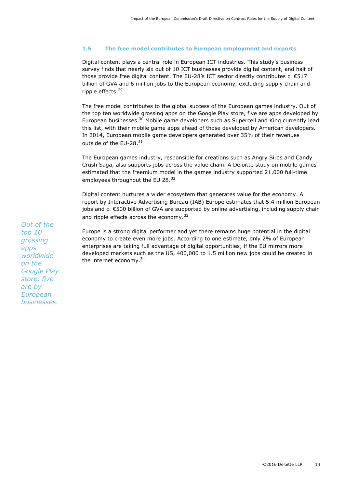## <span id="page-14-0"></span>**1.5 The free model contributes to European employment and exports**

Digital content plays a central role in European ICT industries. This study's business survey finds that nearly six out of 10 ICT businesses provide digital content, and half of those provide free digital content. The EU-28's ICT sector directly contributes  $c \in \mathsf{E517}$ billion of GVA and 6 million jobs to the European economy, excluding supply chain and ripple effects. 29

The free model contributes to the global success of the European games industry. Out of the top ten worldwide grossing apps on the Google Play store, five are apps developed by European businesses.<sup>30</sup> Mobile game developers such as Supercell and King currently lead this list, with their mobile game apps ahead of those developed by American developers. In 2014, European mobile game developers generated over 35% of their revenues outside of the EU-28.<sup>31</sup>

The European games industry, responsible for creations such as Angry Birds and Candy Crush Saga, also supports jobs across the value chain. A Deloitte study on mobile games estimated that the freemium model in the games industry supported 21,000 full-time employees throughout the EU 28.<sup>32</sup>

Digital content nurtures a wider ecosystem that generates value for the economy. A report by Interactive Advertising Bureau (IAB) Europe estimates that 5.4 million European jobs and c. €500 billion of GVA are supported by online advertising, including supply chain and ripple effects across the economy.<sup>33</sup>

Europe is a strong digital performer and yet there remains huge potential in the digital economy to create even more jobs. According to one estimate, only 2% of European enterprises are taking full advantage of digital opportunities; if the EU mirrors more developed markets such as the US, 400,000 to 1.5 million new jobs could be created in the internet economy.<sup>34</sup>

*Out of the top 10 grossing apps worldwide on the Google Play store, five are by European businesses.*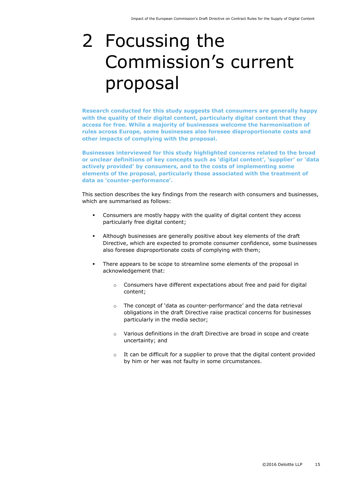# <span id="page-15-0"></span>2 Focussing the Commission's current proposal

**Research conducted for this study suggests that consumers are generally happy with the quality of their digital content, particularly digital content that they access for free. While a majority of businesses welcome the harmonisation of rules across Europe, some businesses also foresee disproportionate costs and other impacts of complying with the proposal.** 

**Businesses interviewed for this study highlighted concerns related to the broad or unclear definitions of key concepts such as 'digital content', 'supplier' or 'data actively provided' by consumers, and to the costs of implementing some elements of the proposal, particularly those associated with the treatment of data as 'counter-performance'.**

This section describes the key findings from the research with consumers and businesses, which are summarised as follows:

- Consumers are mostly happy with the quality of digital content they access particularly free digital content;
- Although businesses are generally positive about key elements of the draft Directive, which are expected to promote consumer confidence, some businesses also foresee disproportionate costs of complying with them;
- There appears to be scope to streamline some elements of the proposal in acknowledgement that:
	- o Consumers have different expectations about free and paid for digital content;
	- $\circ$  The concept of 'data as counter-performance' and the data retrieval obligations in the draft Directive raise practical concerns for businesses particularly in the media sector;
	- o Various definitions in the draft Directive are broad in scope and create uncertainty; and
	- It can be difficult for a supplier to prove that the digital content provided by him or her was not faulty in some circumstances.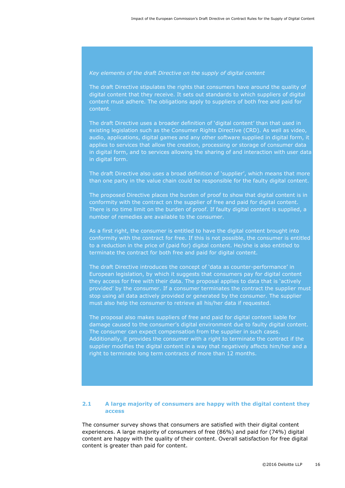#### *Key elements of the draft Directive on the supply of digital content*

The draft Directive stipulates the rights that consumers have around the quality of digital content that they receive. It sets out standards to which suppliers of digital content must adhere. The obligations apply to suppliers of both free and paid for content.

The draft Directive uses a broader definition of 'digital content' than that used in existing legislation such as the Consumer Rights Directive (CRD). As well as video, audio, applications, digital games and any other software supplied in digital form, it applies to services that allow the creation, processing or storage of consumer data in digital form, and to services allowing the sharing of and interaction with user data in digital form.

The draft Directive also uses a broad definition of 'supplier', which means that more than one party in the value chain could be responsible for the faulty digital content.

The proposed Directive places the burden of proof to show that digital content is in conformity with the contract on the supplier of free and paid for digital content. There is no time limit on the burden of proof. If faulty digital content is supplied, a number of remedies are available to the consumer.

As a first right, the consumer is entitled to have the digital content brought into conformity with the contract for free. If this is not possible, the consumer is entitled to a reduction in the price of (paid for) digital content. He/she is also entitled to terminate the contract for both free and paid for digital content.

The draft Directive introduces the concept of 'data as counter-performance' in European legislation, by which it suggests that consumers pay for digital content they access for free with their data. The proposal applies to data that is 'actively provided' by the consumer. If a consumer terminates the contract the supplier must stop using all data actively provided or generated by the consumer. The supplier must also help the consumer to retrieve all his/her data if requested.

The proposal also makes suppliers of free and paid for digital content liable for damage caused to the consumer's digital environment due to faulty digital content. The consumer can expect compensation from the supplier in such cases. Additionally, it provides the consumer with a right to terminate the contract if the supplier modifies the digital content in a way that negatively affects him/her and a right to terminate long term contracts of more than 12 months.

## <span id="page-16-0"></span>**2.1 A large majority of consumers are happy with the digital content they access**

The consumer survey shows that consumers are satisfied with their digital content experiences. A large majority of consumers of free (86%) and paid for (74%) digital content are happy with the quality of their content. Overall satisfaction for free digital content is greater than paid for content.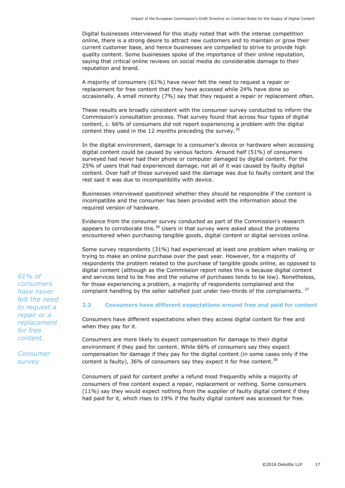Digital businesses interviewed for this study noted that with the intense competition online, there is a strong desire to attract new customers and to maintain or grow their current customer base, and hence businesses are compelled to strive to provide high quality content. Some businesses spoke of the importance of their online reputation, saying that critical online reviews on social media do considerable damage to their reputation and brand.

A majority of consumers (61%) have never felt the need to request a repair or replacement for free content that they have accessed while 24% have done so occasionally. A small minority (7%) say that they request a repair or replacement often.

These results are broadly consistent with the consumer survey conducted to inform the Commission's consultation process. That survey found that across four types of digital content, c. 66% of consumers did not report experiencing a problem with the digital content they used in the 12 months preceding the survey.<sup>35</sup>

In the digital environment, damage to a consumer's device or hardware when accessing digital content could be caused by various factors. Around half (51%) of consumers surveyed had never had their phone or computer damaged by digital content. For the 25% of users that had experienced damage, not all of it was caused by faulty digital content. Over half of those surveyed said the damage was due to faulty content and the rest said it was due to incompatibility with device.

Businesses interviewed questioned whether they should be responsible if the content is incompatible and the consumer has been provided with the information about the required version of hardware.

Evidence from the consumer survey conducted as part of the Commission's research appears to corroborate this. $36$  Users in that survey were asked about the problems encountered when purchasing tangible goods, digital content or digital services online.

Some survey respondents (31%) had experienced at least one problem when making or trying to make an online purchase over the past year. However, for a majority of respondents the problem related to the purchase of tangible goods online, as opposed to digital content (although as the Commission report notes this is because digital content and services tend to be free and the volume of purchases tends to be low). Nonetheless, for those experiencing a problem, a majority of respondents complained and the complaint handling by the seller satisfied just under two-thirds of the complainants.  $37$ 

## <span id="page-17-0"></span>**2.2 Consumers have different expectations around free and paid for content**

Consumers have different expectations when they access digital content for free and when they pay for it.

Consumers are more likely to expect compensation for damage to their digital environment if they paid for content. While 66% of consumers say they expect compensation for damage if they pay for the digital content (in some cases only if the content is faulty), 36% of consumers say they expect it for free content.<sup>38</sup>

Consumers of paid for content prefer a refund most frequently while a majority of consumers of free content expect a repair, replacement or nothing. Some consumers (11%) say they would expect nothing from the supplier of faulty digital content if they had paid for it, which rises to 19% if the faulty digital content was accessed for free.

*61% of consumers have never felt the need to request a repair or a replacement for free content.*

*Consumer survey*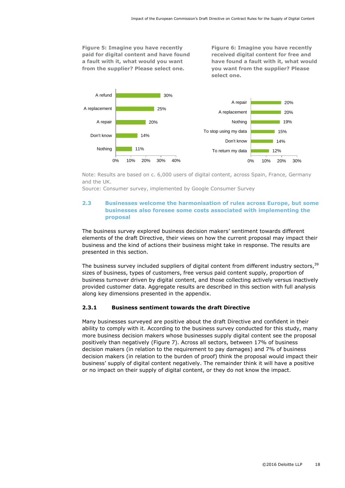**Figure 5: Imagine you have recently paid for digital content and have found a fault with it, what would you want from the supplier? Please select one.**

**Figure 6: Imagine you have recently received digital content for free and have found a fault with it, what would you want from the supplier? Please select one.**



Note: Results are based on c. 6,000 users of digital content, across Spain, France, Germany and the UK.

<span id="page-18-0"></span>Source: Consumer survey, implemented by Google Consumer Survey

## **2.3 Businesses welcome the harmonisation of rules across Europe, but some businesses also foresee some costs associated with implementing the proposal**

The business survey explored business decision makers' sentiment towards different elements of the draft Directive, their views on how the current proposal may impact their business and the kind of actions their business might take in response. The results are presented in this section.

The business survey included suppliers of digital content from different industry sectors,<sup>39</sup> sizes of business, types of customers, free versus paid content supply, proportion of business turnover driven by digital content, and those collecting actively versus inactively provided customer data. Aggregate results are described in this section with full analysis along key dimensions presented in the appendix.

## <span id="page-18-1"></span>**2.3.1 Business sentiment towards the draft Directive**

Many businesses surveyed are positive about the draft Directive and confident in their ability to comply with it. According to the business survey conducted for this study, many more business decision makers whose businesses supply digital content see the proposal positively than negatively [\(Figure 7\)](#page-19-0). Across all sectors, between 17% of business decision makers (in relation to the requirement to pay damages) and 7% of business decision makers (in relation to the burden of proof) think the proposal would impact their business' supply of digital content negatively. The remainder think it will have a positive or no impact on their supply of digital content, or they do not know the impact.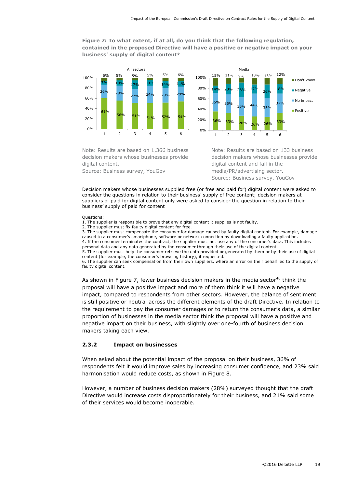## <span id="page-19-0"></span>**Figure 7: To what extent, if at all, do you think that the following regulation, contained in the proposed Directive will have a positive or negative impact on your business' supply of digital content?**

 $56\%$  51% 51% 52% 54% 26% 29% 27% 34% 29% 29% 7% 10% 17% 11% 14% 11% 6% 5% 5% 5% 5% 6%  $0%$ 20% 40% 60% 80% 100% 1 2 3 4 5 6 All sectors



Note: Results are based on 1,366 business decision makers whose businesses provide digital content.

Source: Business survey, YouGov

Note: Results are based on 133 business decision makers whose businesses provide digital content and fall in the media/PR/advertising sector. Source: Business survey, YouGov

Decision makers whose businesses supplied free (or free and paid for) digital content were asked to consider the questions in relation to their business' supply of free content; decision makers at suppliers of paid for digital content only were asked to consider the question in relation to their business' supply of paid for content

#### Questions:

1. The supplier is responsible to prove that any digital content it supplies is not faulty.

2. The supplier must fix faulty digital content for free.

3. The supplier must compensate the consumer for damage caused by faulty digital content. For example, damage caused to a consumer's smartphone, software or network connection by downloading a faulty application. 4. If the consumer terminates the contract, the supplier must not use any of the consumer's data. This includes personal data and any data generated by the consumer through their use of the digital content.

5. The supplier must help the consumer retrieve the data provided or generated by them or by their use of digital content (for example, the consumer's browsing history), if requested.

6. The supplier can seek compensation from their own suppliers, where an error on their behalf led to the supply of faulty digital content.

As shown in [Figure 7,](#page-19-0) fewer business decision makers in the media sector<sup>40</sup> think the proposal will have a positive impact and more of them think it will have a negative impact, compared to respondents from other sectors. However, the balance of sentiment is still positive or neutral across the different elements of the draft Directive. In relation to the requirement to pay the consumer damages or to return the consumer's data, a similar proportion of businesses in the media sector think the proposal will have a positive and negative impact on their business, with slightly over one-fourth of business decision makers taking each view.

## **2.3.2 Impact on businesses**

When asked about the potential impact of the proposal on their business, 36% of respondents felt it would improve sales by increasing consumer confidence, and 23% said harmonisation would reduce costs, as shown in [Figure 8.](#page-20-0)

However, a number of business decision makers (28%) surveyed thought that the draft Directive would increase costs disproportionately for their business, and 21% said some of their services would become inoperable.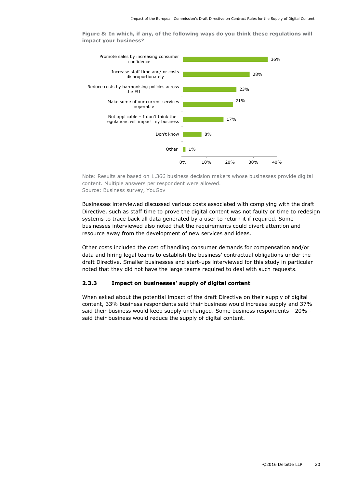<span id="page-20-0"></span>**Figure 8: In which, if any, of the following ways do you think these regulations will impact your business?**



Note: Results are based on 1,366 business decision makers whose businesses provide digital content. Multiple answers per respondent were allowed. Source: Business survey, YouGov

Businesses interviewed discussed various costs associated with complying with the draft Directive, such as staff time to prove the digital content was not faulty or time to redesign systems to trace back all data generated by a user to return it if required. Some businesses interviewed also noted that the requirements could divert attention and resource away from the development of new services and ideas.

Other costs included the cost of handling consumer demands for compensation and/or data and hiring legal teams to establish the business' contractual obligations under the draft Directive. Smaller businesses and start-ups interviewed for this study in particular noted that they did not have the large teams required to deal with such requests.

## **2.3.3 Impact on businesses' supply of digital content**

When asked about the potential impact of the draft Directive on their supply of digital content, 33% business respondents said their business would increase supply and 37% said their business would keep supply unchanged. Some business respondents - 20% said their business would reduce the supply of digital content.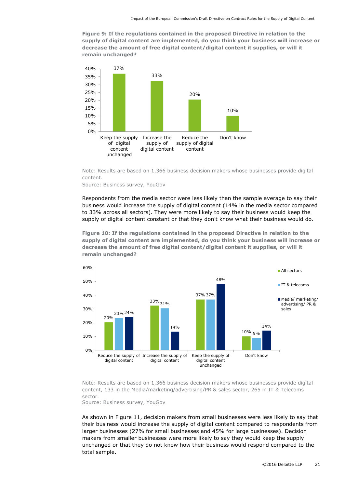**Figure 9: If the regulations contained in the proposed Directive in relation to the supply of digital content are implemented, do you think your business will increase or decrease the amount of free digital content/digital content it supplies, or will it remain unchanged?**



Note: Results are based on 1,366 business decision makers whose businesses provide digital content.

Source: Business survey, YouGov

Respondents from the media sector were less likely than the sample average to say their business would increase the supply of digital content (14% in the media sector compared to 33% across all sectors). They were more likely to say their business would keep the supply of digital content constant or that they don't know what their business would do.

**Figure 10: If the regulations contained in the proposed Directive in relation to the supply of digital content are implemented, do you think your business will increase or decrease the amount of free digital content/digital content it supplies, or will it remain unchanged?**



Note: Results are based on 1,366 business decision makers whose businesses provide digital content, 133 in the Media/marketing/advertising/PR & sales sector, 265 in IT & Telecoms sector.

Source: Business survey, YouGov

As shown in [Figure 11,](#page-22-0) decision makers from small businesses were less likely to say that their business would increase the supply of digital content compared to respondents from larger businesses (27% for small businesses and 45% for large businesses). Decision makers from smaller businesses were more likely to say they would keep the supply unchanged or that they do not know how their business would respond compared to the total sample.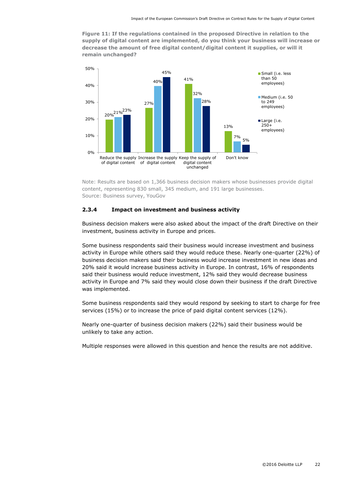<span id="page-22-0"></span>**Figure 11: If the regulations contained in the proposed Directive in relation to the supply of digital content are implemented, do you think your business will increase or decrease the amount of free digital content/digital content it supplies, or will it remain unchanged?**



Note: Results are based on 1,366 business decision makers whose businesses provide digital content, representing 830 small, 345 medium, and 191 large businesses. Source: Business survey, YouGov

#### **2.3.4 Impact on investment and business activity**

Business decision makers were also asked about the impact of the draft Directive on their investment, business activity in Europe and prices.

Some business respondents said their business would increase investment and business activity in Europe while others said they would reduce these. Nearly one-quarter (22%) of business decision makers said their business would increase investment in new ideas and 20% said it would increase business activity in Europe. In contrast, 16% of respondents said their business would reduce investment, 12% said they would decrease business activity in Europe and 7% said they would close down their business if the draft Directive was implemented.

Some business respondents said they would respond by seeking to start to charge for free services (15%) or to increase the price of paid digital content services (12%).

Nearly one-quarter of business decision makers (22%) said their business would be unlikely to take any action.

Multiple responses were allowed in this question and hence the results are not additive.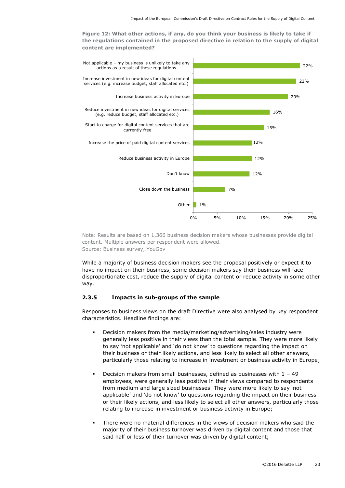**Figure 12: What other actions, if any, do you think your business is likely to take if the regulations contained in the proposed directive in relation to the supply of digital content are implemented?** 



Note: Results are based on 1,366 business decision makers whose businesses provide digital content. Multiple answers per respondent were allowed. Source: Business survey, YouGov

While a majority of business decision makers see the proposal positively or expect it to have no impact on their business, some decision makers say their business will face disproportionate cost, reduce the supply of digital content or reduce activity in some other way.

#### **2.3.5 Impacts in sub-groups of the sample**

Responses to business views on the draft Directive were also analysed by key respondent characteristics. Headline findings are:

- Decision makers from the media/marketing/advertising/sales industry were generally less positive in their views than the total sample. They were more likely to say 'not applicable' and 'do not know' to questions regarding the impact on their business or their likely actions, and less likely to select all other answers, particularly those relating to increase in investment or business activity in Europe;
- Decision makers from small businesses, defined as businesses with 1 49 employees, were generally less positive in their views compared to respondents from medium and large sized businesses. They were more likely to say 'not applicable' and 'do not know' to questions regarding the impact on their business or their likely actions, and less likely to select all other answers, particularly those relating to increase in investment or business activity in Europe;
- There were no material differences in the views of decision makers who said the majority of their business turnover was driven by digital content and those that said half or less of their turnover was driven by digital content;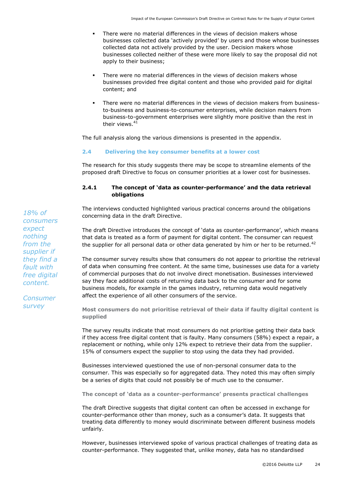- There were no material differences in the views of decision makers whose businesses collected data 'actively provided' by users and those whose businesses collected data not actively provided by the user. Decision makers whose businesses collected neither of these were more likely to say the proposal did not apply to their business;
- There were no material differences in the views of decision makers whose businesses provided free digital content and those who provided paid for digital content; and
- There were no material differences in the views of decision makers from businessto-business and business-to-consumer enterprises, while decision makers from business-to-government enterprises were slightly more positive than the rest in their views. 41

The full analysis along the various dimensions is presented in the appendix.

## <span id="page-24-0"></span>**2.4 Delivering the key consumer benefits at a lower cost**

The research for this study suggests there may be scope to streamline elements of the proposed draft Directive to focus on consumer priorities at a lower cost for businesses.

## **2.4.1 The concept of 'data as counter-performance' and the data retrieval obligations**

The interviews conducted highlighted various practical concerns around the obligations concerning data in the draft Directive.

The draft Directive introduces the concept of 'data as counter-performance', which means that data is treated as a form of payment for digital content. The consumer can request the supplier for all personal data or other data generated by him or her to be returned.<sup>42</sup>

The consumer survey results show that consumers do not appear to prioritise the retrieval of data when consuming free content. At the same time, businesses use data for a variety of commercial purposes that do not involve direct monetisation. Businesses interviewed say they face additional costs of returning data back to the consumer and for some business models, for example in the games industry, returning data would negatively affect the experience of all other consumers of the service.

**Most consumers do not prioritise retrieval of their data if faulty digital content is supplied**

The survey results indicate that most consumers do not prioritise getting their data back if they access free digital content that is faulty. Many consumers (58%) expect a repair, a replacement or nothing, while only 12% expect to retrieve their data from the supplier. 15% of consumers expect the supplier to stop using the data they had provided.

Businesses interviewed questioned the use of non-personal consumer data to the consumer. This was especially so for aggregated data. They noted this may often simply be a series of digits that could not possibly be of much use to the consumer.

**The concept of 'data as a counter-performance' presents practical challenges** 

The draft Directive suggests that digital content can often be accessed in exchange for counter-performance other than money, such as a consumer's data. It suggests that treating data differently to money would discriminate between different business models unfairly.

However, businesses interviewed spoke of various practical challenges of treating data as counter-performance. They suggested that, unlike money, data has no standardised

*18% of consumers expect nothing from the supplier if they find a fault with free digital content.*

*Consumer survey*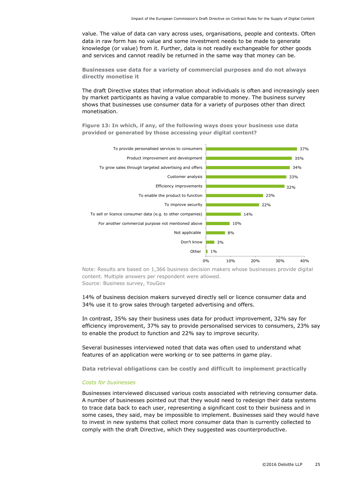value. The value of data can vary across uses, organisations, people and contexts. Often data in raw form has no value and some investment needs to be made to generate knowledge (or value) from it. Further, data is not readily exchangeable for other goods and services and cannot readily be returned in the same way that money can be.

**Businesses use data for a variety of commercial purposes and do not always directly monetise it**

The draft Directive states that information about individuals is often and increasingly seen by market participants as having a value comparable to money. The business survey shows that businesses use consumer data for a variety of purposes other than direct monetisation.

**Figure 13: In which, if any, of the following ways does your business use data provided or generated by those accessing your digital content?**



Note: Results are based on 1,366 business decision makers whose businesses provide digital content. Multiple answers per respondent were allowed. Source: Business survey, YouGov

14% of business decision makers surveyed directly sell or licence consumer data and 34% use it to grow sales through targeted advertising and offers.

In contrast, 35% say their business uses data for product improvement, 32% say for efficiency improvement, 37% say to provide personalised services to consumers, 23% say to enable the product to function and 22% say to improve security.

Several businesses interviewed noted that data was often used to understand what features of an application were working or to see patterns in game play.

**Data retrieval obligations can be costly and difficult to implement practically**

#### *Costs for businesses*

Businesses interviewed discussed various costs associated with retrieving consumer data. A number of businesses pointed out that they would need to redesign their data systems to trace data back to each user, representing a significant cost to their business and in some cases, they said, may be impossible to implement. Businesses said they would have to invest in new systems that collect more consumer data than is currently collected to comply with the draft Directive, which they suggested was counterproductive.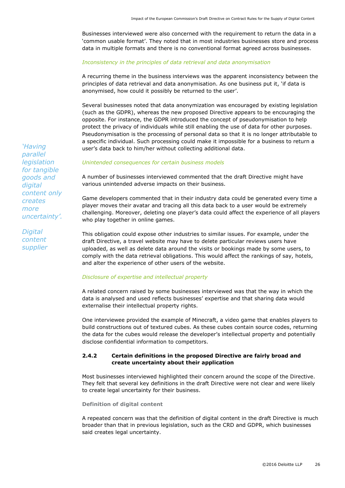Businesses interviewed were also concerned with the requirement to return the data in a 'common usable format'. They noted that in most industries businesses store and process data in multiple formats and there is no conventional format agreed across businesses.

#### *Inconsistency in the principles of data retrieval and data anonymisation*

A recurring theme in the business interviews was the apparent inconsistency between the principles of data retrieval and data anonymisation. As one business put it, 'if data is anonymised, how could it possibly be returned to the user'.

Several businesses noted that data anonymization was encouraged by existing legislation (such as the GDPR), whereas the new proposed Directive appears to be encouraging the opposite. For instance, the GDPR introduced the concept of pseudonymisation to help protect the privacy of individuals while still enabling the use of data for other purposes. Pseudonymisation is the processing of personal data so that it is no longer attributable to a specific individual. Such processing could make it impossible for a business to return a user's data back to him/her without collecting additional data.

#### *Unintended consequences for certain business models*

A number of businesses interviewed commented that the draft Directive might have various unintended adverse impacts on their business.

Game developers commented that in their industry data could be generated every time a player moves their avatar and tracing all this data back to a user would be extremely challenging. Moreover, deleting one player's data could affect the experience of all players who play together in online games.

This obligation could expose other industries to similar issues. For example, under the draft Directive, a travel website may have to delete particular reviews users have uploaded, as well as delete data around the visits or bookings made by some users, to comply with the data retrieval obligations. This would affect the rankings of say, hotels, and alter the experience of other users of the website.

#### *Disclosure of expertise and intellectual property*

A related concern raised by some businesses interviewed was that the way in which the data is analysed and used reflects businesses' expertise and that sharing data would externalise their intellectual property rights.

One interviewee provided the example of Minecraft, a video game that enables players to build constructions out of textured cubes. As these cubes contain source codes, returning the data for the cubes would release the developer's intellectual property and potentially disclose confidential information to competitors.

## **2.4.2 Certain definitions in the proposed Directive are fairly broad and create uncertainty about their application**

Most businesses interviewed highlighted their concern around the scope of the Directive. They felt that several key definitions in the draft Directive were not clear and were likely to create legal uncertainty for their business.

#### **Definition of digital content**

A repeated concern was that the definition of digital content in the draft Directive is much broader than that in previous legislation, such as the CRD and GDPR, which businesses said creates legal uncertainty.

*'Having parallel legislation for tangible goods and digital content only creates more uncertainty'.*

*Digital content supplier*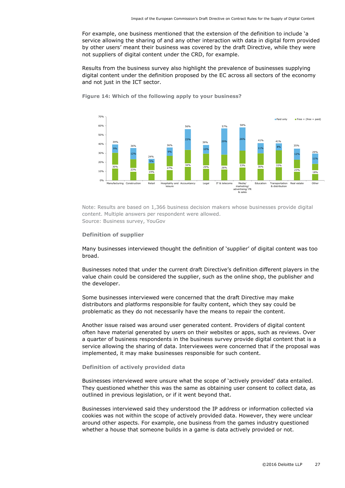For example, one business mentioned that the extension of the definition to include 'a service allowing the sharing of and any other interaction with data in digital form provided by other users' meant their business was covered by the draft Directive, while they were not suppliers of digital content under the CRD, for example.

Results from the business survey also highlight the prevalence of businesses supplying digital content under the definition proposed by the EC across all sectors of the economy and not just in the ICT sector.



**Figure 14: Which of the following apply to your business?**

Note: Results are based on 1,366 business decision makers whose businesses provide digital content. Multiple answers per respondent were allowed. Source: Business survey, YouGov

#### **Definition of supplier**

Many businesses interviewed thought the definition of 'supplier' of digital content was too broad.

Businesses noted that under the current draft Directive's definition different players in the value chain could be considered the supplier, such as the online shop, the publisher and the developer.

Some businesses interviewed were concerned that the draft Directive may make distributors and platforms responsible for faulty content, which they say could be problematic as they do not necessarily have the means to repair the content.

Another issue raised was around user generated content. Providers of digital content often have material generated by users on their websites or apps, such as reviews. Over a quarter of business respondents in the business survey provide digital content that is a service allowing the sharing of data. Interviewees were concerned that if the proposal was implemented, it may make businesses responsible for such content.

## **Definition of actively provided data**

Businesses interviewed were unsure what the scope of 'actively provided' data entailed. They questioned whether this was the same as obtaining user consent to collect data, as outlined in previous legislation, or if it went beyond that.

Businesses interviewed said they understood the IP address or information collected via cookies was not within the scope of actively provided data. However, they were unclear around other aspects. For example, one business from the games industry questioned whether a house that someone builds in a game is data actively provided or not.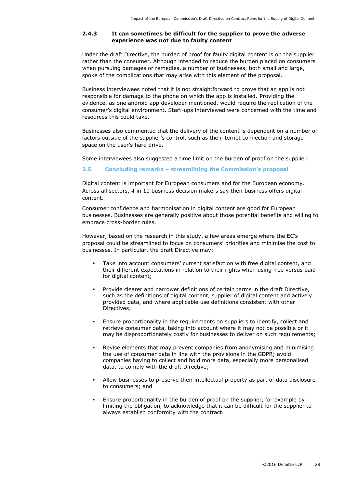## **2.4.3 It can sometimes be difficult for the supplier to prove the adverse experience was not due to faulty content**

Under the draft Directive, the burden of proof for faulty digital content is on the supplier rather than the consumer. Although intended to reduce the burden placed on consumers when pursuing damages or remedies, a number of businesses, both small and large, spoke of the complications that may arise with this element of the proposal.

Business interviewees noted that it is not straightforward to prove that an app is not responsible for damage to the phone on which the app is installed. Providing the evidence, as one android app developer mentioned, would require the replication of the consumer's digital environment. Start-ups interviewed were concerned with the time and resources this could take.

Businesses also commented that the delivery of the content is dependent on a number of factors outside of the supplier's control, such as the internet connection and storage space on the user's hard drive.

Some interviewees also suggested a time limit on the burden of proof on the supplier.

## <span id="page-28-0"></span>**2.5 Concluding remarks – streamlining the Commission's proposal**

Digital content is important for European consumers and for the European economy. Across all sectors, 4 in 10 business decision makers say their business offers digital content.

Consumer confidence and harmonisation in digital content are good for European businesses. Businesses are generally positive about those potential benefits and willing to embrace cross-border rules.

However, based on the research in this study, a few areas emerge where the EC's proposal could be streamlined to focus on consumers' priorities and minimise the cost to businesses. In particular, the draft Directive may:

- Take into account consumers' current satisfaction with free digital content, and their different expectations in relation to their rights when using free versus paid for digital content;
- Provide clearer and narrower definitions of certain terms in the draft Directive, such as the definitions of digital content, supplier of digital content and actively provided data, and where applicable use definitions consistent with other Directives;
- Ensure proportionality in the requirements on suppliers to identify, collect and retrieve consumer data, taking into account where it may not be possible or it may be disproportionately costly for businesses to deliver on such requirements;
- Revise elements that may prevent companies from anonymising and minimising the use of consumer data in line with the provisions in the GDPR; avoid companies having to collect and hold more data, especially more personalised data, to comply with the draft Directive;
- Allow businesses to preserve their intellectual property as part of data disclosure to consumers; and
- Ensure proportionality in the burden of proof on the supplier, for example by limiting the obligation, to acknowledge that it can be difficult for the supplier to always establish conformity with the contract.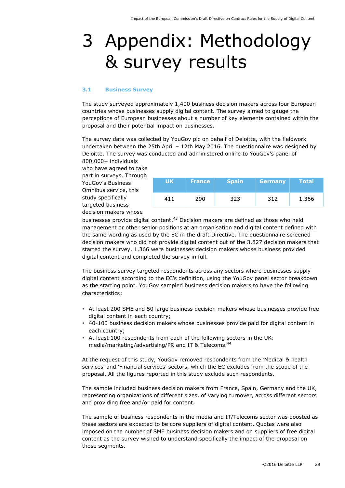# <span id="page-29-0"></span>3 Appendix: Methodology & survey results

#### <span id="page-29-1"></span>**3.1 Business Survey**

The study surveyed approximately 1,400 business decision makers across four European countries whose businesses supply digital content. The survey aimed to gauge the perceptions of European businesses about a number of key elements contained within the proposal and their potential impact on businesses.

The survey data was collected by YouGov plc on behalf of Deloitte, with the fieldwork undertaken between the 25th April – 12th May 2016. The questionnaire was designed by Deloitte. The survey was conducted and administered online to YouGov's panel of 800,000+ individuals

who have agreed to take part in surveys. Through YouGov's Business Omnibus service, this study specifically targeted business decision makers whose

| <b>UK</b> | <b>France</b> | <b>Spain</b> | <b>Germany</b> | <b>Total</b> |
|-----------|---------------|--------------|----------------|--------------|
| 411       | 290           | 323          | 312            | 1,366        |

businesses provide digital content.<sup>43</sup> Decision makers are defined as those who held management or other senior positions at an organisation and digital content defined with the same wording as used by the EC in the draft Directive. The questionnaire screened decision makers who did not provide digital content out of the 3,827 decision makers that started the survey, 1,366 were businesses decision makers whose business provided digital content and completed the survey in full.

The business survey targeted respondents across any sectors where businesses supply digital content according to the EC's definition, using the YouGov panel sector breakdown as the starting point. YouGov sampled business decision makers to have the following characteristics:

- At least 200 SME and 50 large business decision makers whose businesses provide free digital content in each country;
- 40-100 business decision makers whose businesses provide paid for digital content in each country;
- At least 100 respondents from each of the following sectors in the UK: media/marketing/advertising/PR and IT & Telecoms. 44

At the request of this study, YouGov removed respondents from the 'Medical & health services' and 'Financial services' sectors, which the EC excludes from the scope of the proposal. All the figures reported in this study exclude such respondents.

The sample included business decision makers from France, Spain, Germany and the UK, representing organizations of different sizes, of varying turnover, across different sectors and providing free and/or paid for content.

The sample of business respondents in the media and IT/Telecoms sector was boosted as these sectors are expected to be core suppliers of digital content. Quotas were also imposed on the number of SME business decision makers and on suppliers of free digital content as the survey wished to understand specifically the impact of the proposal on those segments.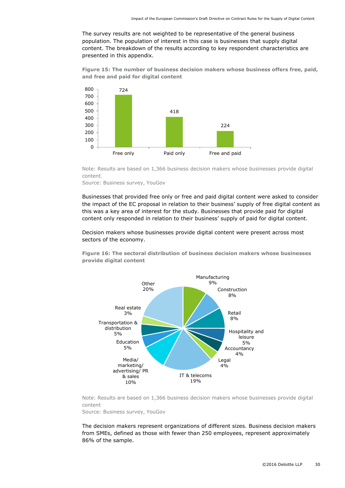The survey results are not weighted to be representative of the general business population. The population of interest in this case is businesses that supply digital content. The breakdown of the results according to key respondent characteristics are presented in this appendix.

**Figure 15: The number of business decision makers whose business offers free, paid, and free and paid for digital content**



Note: Results are based on 1,366 business decision makers whose businesses provide digital content.

Source: Business survey, YouGov

Businesses that provided free only or free and paid digital content were asked to consider the impact of the EC proposal in relation to their business' supply of free digital content as this was a key area of interest for the study. Businesses that provide paid for digital content only responded in relation to their business' supply of paid for digital content.

Decision makers whose businesses provide digital content were present across most sectors of the economy.

**Figure 16: The sectoral distribution of business decision makers whose businesses provide digital content**



Note: Results are based on 1,366 business decision makers whose businesses provide digital content

Source: Business survey, YouGov

The decision makers represent organizations of different sizes. Business decision makers from SMEs, defined as those with fewer than 250 employees, represent approximately 86% of the sample.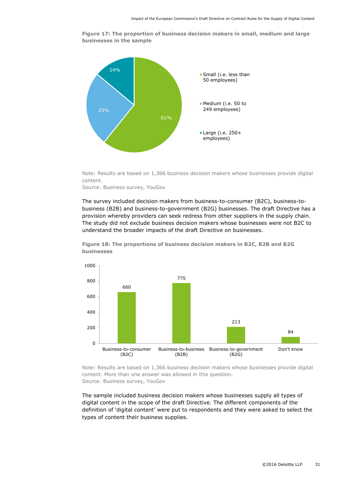**Figure 17: The proportion of business decision makers in small, medium and large businesses in the sample**



Note: Results are based on 1,366 business decision makers whose businesses provide digital content.

Source: Business survey, YouGov

The survey included decision makers from business-to-consumer (B2C), business-tobusiness (B2B) and business-to-government (B2G) businesses. The draft Directive has a provision whereby providers can seek redress from other suppliers in the supply chain. The study did not exclude business decision makers whose businesses were not B2C to understand the broader impacts of the draft Directive on businesses.



**Figure 18: The proportions of business decision makers in B2C, B2B and B2G businesses**

Note: Results are based on 1,366 business decision makers whose businesses provide digital content. More than one answer was allowed in this question. Source: Business survey, YouGov

The sample included business decision makers whose businesses supply all types of digital content in the scope of the draft Directive. The different components of the definition of 'digital content' were put to respondents and they were asked to select the types of content their business supplies.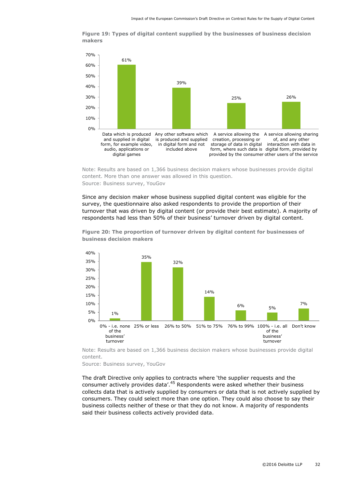**Figure 19: Types of digital content supplied by the businesses of business decision makers**



Note: Results are based on 1,366 business decision makers whose businesses provide digital content. More than one answer was allowed in this question. Source: Business survey, YouGov

Since any decision maker whose business supplied digital content was eligible for the survey, the questionnaire also asked respondents to provide the proportion of their turnover that was driven by digital content (or provide their best estimate). A majority of respondents had less than 50% of their business' turnover driven by digital content.



**Figure 20: The proportion of turnover driven by digital content for businesses of business decision makers**

Note: Results are based on 1,366 business decision makers whose businesses provide digital content.

Source: Business survey, YouGov

The draft Directive only applies to contracts where 'the supplier requests and the consumer actively provides data'.<sup>45</sup> Respondents were asked whether their business collects data that is actively supplied by consumers or data that is not actively supplied by consumers. They could select more than one option. They could also choose to say their business collects neither of these or that they do not know. A majority of respondents said their business collects actively provided data.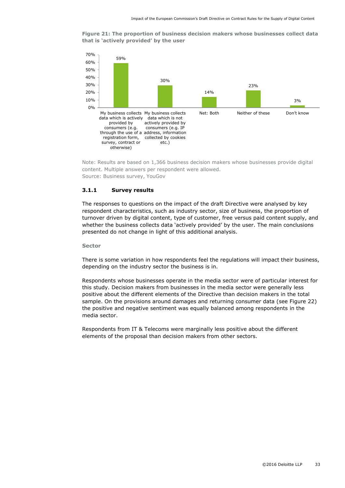**Figure 21: The proportion of business decision makers whose businesses collect data that is 'actively provided' by the user**



Note: Results are based on 1,366 business decision makers whose businesses provide digital content. Multiple answers per respondent were allowed. Source: Business survey, YouGov

### **3.1.1 Survey results**

The responses to questions on the impact of the draft Directive were analysed by key respondent characteristics, such as industry sector, size of business, the proportion of turnover driven by digital content, type of customer, free versus paid content supply, and whether the business collects data 'actively provided' by the user. The main conclusions presented do not change in light of this additional analysis.

#### **Sector**

There is some variation in how respondents feel the regulations will impact their business, depending on the industry sector the business is in.

Respondents whose businesses operate in the media sector were of particular interest for this study. Decision makers from businesses in the media sector were generally less positive about the different elements of the Directive than decision makers in the total sample. On the provisions around damages and returning consumer data (see [Figure 22\)](#page-34-0) the positive and negative sentiment was equally balanced among respondents in the media sector.

Respondents from IT & Telecoms were marginally less positive about the different elements of the proposal than decision makers from other sectors.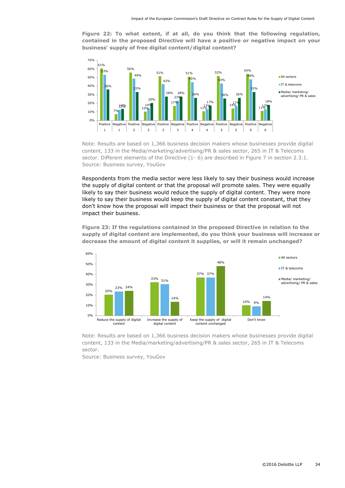<span id="page-34-0"></span>**Figure 22: To what extent, if at all, do you think that the following regulation, contained in the proposed Directive will have a positive or negative impact on your business' supply of free digital content/digital content?**



Note: Results are based on 1,366 business decision makers whose businesses provide digital content, 133 in the Media/marketing/advertising/PR & sales sector, 265 in IT & Telecoms sector. Different elements of the Directive (1-6) are described in [Figure 7](#page-19-0) in section [2.3.1.](#page-18-1) Source: Business survey, YouGov

Respondents from the media sector were less likely to say their business would increase the supply of digital content or that the proposal will promote sales. They were equally likely to say their business would reduce the supply of digital content. They were more likely to say their business would keep the supply of digital content constant, that they don't know how the proposal will impact their business or that the proposal will not impact their business.

**Figure 23: If the regulations contained in the proposed Directive in relation to the supply of digital content are implemented, do you think your business will increase or decrease the amount of digital content it supplies, or will it remain unchanged?**



Note: Results are based on 1,366 business decision makers whose businesses provide digital content, 133 in the Media/marketing/advertising/PR & sales sector, 265 in IT & Telecoms sector.

Source: Business survey, YouGov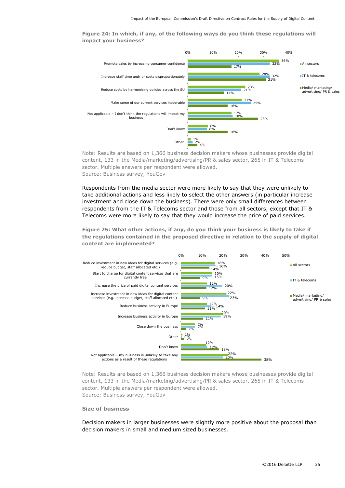**Figure 24: In which, if any, of the following ways do you think these regulations will impact your business?**



Note: Results are based on 1,366 business decision makers whose businesses provide digital content, 133 in the Media/marketing/advertising/PR & sales sector, 265 in IT & Telecoms sector. Multiple answers per respondent were allowed. Source: Business survey, YouGov

Respondents from the media sector were more likely to say that they were unlikely to take additional actions and less likely to select the other answers (in particular increase investment and close down the business). There were only small differences between respondents from the IT & Telecoms sector and those from all sectors, except that IT & Telecoms were more likely to say that they would increase the price of paid services.

**Figure 25: What other actions, if any, do you think your business is likely to take if the regulations contained in the proposed directive in relation to the supply of digital content are implemented?**



Note: Results are based on 1,366 business decision makers whose businesses provide digital content, 133 in the Media/marketing/advertising/PR & sales sector, 265 in IT & Telecoms sector. Multiple answers per respondent were allowed. Source: Business survey, YouGov

#### **Size of business**

Decision makers in larger businesses were slightly more positive about the proposal than decision makers in small and medium sized businesses.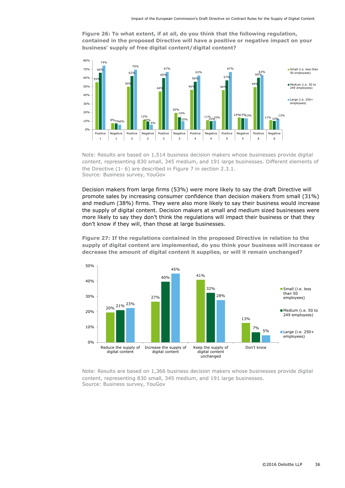**Figure 26: To what extent, if at all, do you think that the following regulation, contained in the proposed Directive will have a positive or negative impact on your business' supply of free digital content/digital content?**



Note: Results are based on 1,514 business decision makers whose businesses provide digital content, representing 830 small, 345 medium, and 191 large businesses. Different elements of the Directive (1- 6) are described in [Figure 7](#page-19-0) in section [2.3.1.](#page-18-1) Source: Business survey, YouGov

Decision makers from large firms (53%) were more likely to say the draft Directive will promote sales by increasing consumer confidence than decision makers from small (31%) and medium (38%) firms. They were also more likely to say their business would increase the supply of digital content. Decision makers at small and medium sized businesses were more likely to say they don't think the regulations will impact their business or that they don't know if they will, than those at large businesses.

**Figure 27: If the regulations contained in the proposed Directive in relation to the supply of digital content are implemented, do you think your business will increase or decrease the amount of digital content it supplies, or will it remain unchanged?**



Note: Results are based on 1,366 business decision makers whose businesses provide digital content, representing 830 small, 345 medium, and 191 large businesses. Source: Business survey, YouGov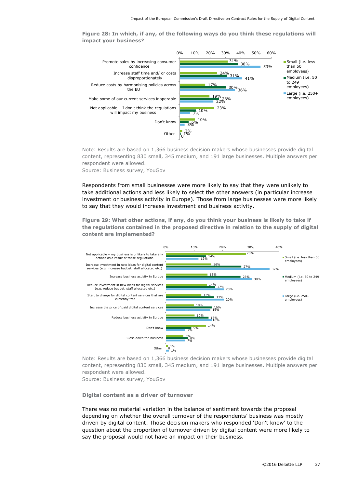**Figure 28: In which, if any, of the following ways do you think these regulations will impact your business?**



Note: Results are based on 1,366 business decision makers whose businesses provide digital content, representing 830 small, 345 medium, and 191 large businesses. Multiple answers per respondent were allowed. Source: Business survey, YouGov

Respondents from small businesses were more likely to say that they were unlikely to take additional actions and less likely to select the other answers (in particular increase investment or business activity in Europe). Those from large businesses were more likely to say that they would increase investment and business activity.

**Figure 29: What other actions, if any, do you think your business is likely to take if the regulations contained in the proposed directive in relation to the supply of digital content are implemented?**



Note: Results are based on 1,366 business decision makers whose businesses provide digital content, representing 830 small, 345 medium, and 191 large businesses. Multiple answers per respondent were allowed.

Source: Business survey, YouGov

#### **Digital content as a driver of turnover**

There was no material variation in the balance of sentiment towards the proposal depending on whether the overall turnover of the respondents' business was mostly driven by digital content. Those decision makers who responded 'Don't know' to the question about the proportion of turnover driven by digital content were more likely to say the proposal would not have an impact on their business.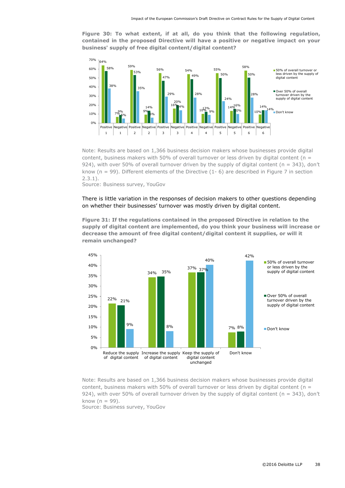**Figure 30: To what extent, if at all, do you think that the following regulation, contained in the proposed Directive will have a positive or negative impact on your business' supply of free digital content/digital content?**



Note: Results are based on 1,366 business decision makers whose businesses provide digital content, business makers with 50% of overall turnover or less driven by digital content ( $n =$ 924), with over 50% of overall turnover driven by the supply of digital content ( $n = 343$ ), don't know (n = 99). Different elements of the Directive (1- 6) are described in [Figure 7](#page-19-0) in section [2.3.1\)](#page-18-1).

Source: Business survey, YouGov

### There is little variation in the responses of decision makers to other questions depending on whether their businesses' turnover was mostly driven by digital content.

**Figure 31: If the regulations contained in the proposed Directive in relation to the supply of digital content are implemented, do you think your business will increase or decrease the amount of free digital content/digital content it supplies, or will it remain unchanged?**



Note: Results are based on 1,366 business decision makers whose businesses provide digital content, business makers with 50% of overall turnover or less driven by digital content ( $n =$ 924), with over 50% of overall turnover driven by the supply of digital content ( $n = 343$ ), don't know  $(n = 99)$ .

Source: Business survey, YouGov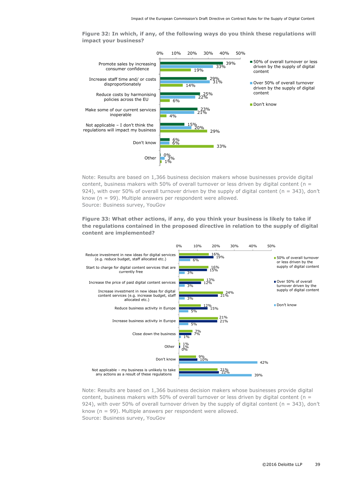**Figure 32: In which, if any, of the following ways do you think these regulations will impact your business?**



Note: Results are based on 1,366 business decision makers whose businesses provide digital content, business makers with 50% of overall turnover or less driven by digital content ( $n =$ 924), with over 50% of overall turnover driven by the supply of digital content ( $n = 343$ ), don't know (n = 99). Multiple answers per respondent were allowed. Source: Business survey, YouGov

## **Figure 33: What other actions, if any, do you think your business is likely to take if the regulations contained in the proposed directive in relation to the supply of digital content are implemented?**



Note: Results are based on 1,366 business decision makers whose businesses provide digital content, business makers with 50% of overall turnover or less driven by digital content ( $n =$ 924), with over 50% of overall turnover driven by the supply of digital content ( $n = 343$ ), don't know (n = 99). Multiple answers per respondent were allowed. Source: Business survey, YouGov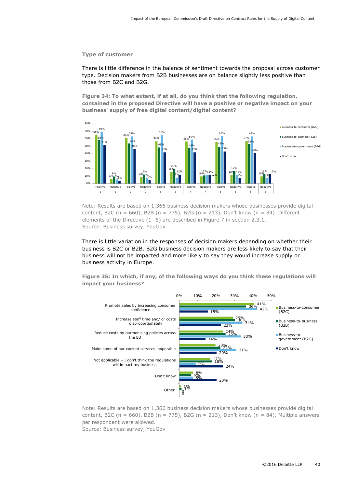#### **Type of customer**

There is little difference in the balance of sentiment towards the proposal across customer type. Decision makers from B2B businesses are on balance slightly less positive than those from B2C and B2G.

**Figure 34: To what extent, if at all, do you think that the following regulation, contained in the proposed Directive will have a positive or negative impact on your business' supply of free digital content/digital content?**



Note: Results are based on 1,366 business decision makers whose businesses provide digital content, B2C (n = 660), B2B (n = 775), B2G (n = 213), Don't know (n = 84). Different elements of the Directive (1- 6) are described in [Figure 7](#page-19-0) in section [2.3.1.](#page-18-1) Source: Business survey, YouGov

There is little variation in the responses of decision makers depending on whether their business is B2C or B2B. B2G business decision makers are less likely to say that their business will not be impacted and more likely to say they would increase supply or business activity in Europe.

**Figure 35: In which, if any, of the following ways do you think these regulations will impact your business?**



Note: Results are based on 1,366 business decision makers whose businesses provide digital content, B2C (n = 660), B2B (n = 775), B2G (n = 213), Don't know (n = 84). Multiple answers per respondent were allowed.

Source: Business survey, YouGov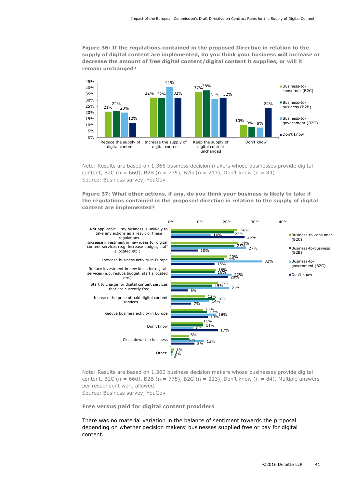**Figure 36: If the regulations contained in the proposed Directive in relation to the supply of digital content are implemented, do you think your business will increase or decrease the amount of free digital content/digital content it supplies, or will it remain unchanged?**



Note: Results are based on 1,366 business decision makers whose businesses provide digital content, B2C (n = 660), B2B (n = 775), B2G (n = 213), Don't know (n = 84). Source: Business survey, YouGov

**Figure 37: What other actions, if any, do you think your business is likely to take if the regulations contained in the proposed directive in relation to the supply of digital content are implemented?**



Note: Results are based on 1,366 business decision makers whose businesses provide digital content, B2C (n = 660), B2B (n = 775), B2G (n = 213), Don't know (n = 84). Multiple answers per respondent were allowed. Source: Business survey, YouGov

**Free versus paid for digital content providers**

There was no material variation in the balance of sentiment towards the proposal depending on whether decision makers' businesses supplied free or pay for digital content.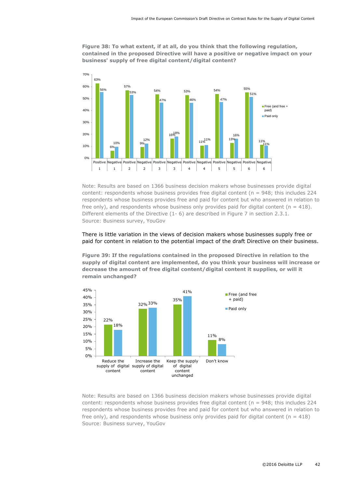**Figure 38: To what extent, if at all, do you think that the following regulation, contained in the proposed Directive will have a positive or negative impact on your business' supply of free digital content/digital content?**



Note: Results are based on 1366 business decision makers whose businesses provide digital content: respondents whose business provides free digital content ( $n = 948$ ; this includes 224 respondents whose business provides free and paid for content but who answered in relation to free only), and respondents whose business only provides paid for digital content ( $n = 418$ ). Different elements of the Directive (1- 6) are described in [Figure 7](#page-19-0) in section [2.3.1.](#page-18-1) Source: Business survey, YouGov

## There is little variation in the views of decision makers whose businesses supply free or paid for content in relation to the potential impact of the draft Directive on their business.

**Figure 39: If the regulations contained in the proposed Directive in relation to the supply of digital content are implemented, do you think your business will increase or decrease the amount of free digital content/digital content it supplies, or will it remain unchanged?**



Note: Results are based on 1366 business decision makers whose businesses provide digital content: respondents whose business provides free digital content ( $n = 948$ ; this includes 224 respondents whose business provides free and paid for content but who answered in relation to free only), and respondents whose business only provides paid for digital content ( $n = 418$ ) Source: Business survey, YouGov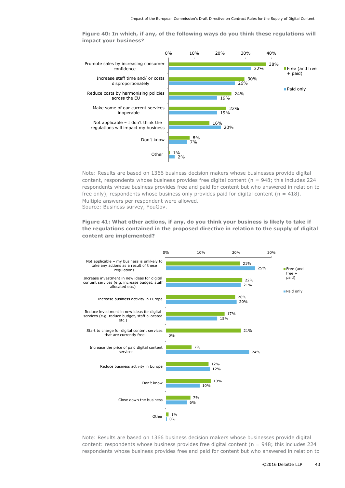30% 24% 22% 16% 8% 1% 32% 26% 19% 19% 20% 7%  $2%$ 0% 10% 20% 30% 40% Promote sales by increasing consumer confidence Increase staff time and/ or costs disproportionately Reduce costs by harmonising policies across the EU Make some of our current services inoperable Not applicable – I don't think the regulations will impact my business Don't know **Other** Free (and free + paid) ■ Paid only

**Figure 40: In which, if any, of the following ways do you think these regulations will impact your business?**

Note: Results are based on 1366 business decision makers whose businesses provide digital content, respondents whose business provides free digital content (n = 948; this includes 224 respondents whose business provides free and paid for content but who answered in relation to free only), respondents whose business only provides paid for digital content ( $n = 418$ ). Multiple answers per respondent were allowed. Source: Business survey, YouGov.

**Figure 41: What other actions, if any, do you think your business is likely to take if the regulations contained in the proposed directive in relation to the supply of digital content are implemented?**



Note: Results are based on 1366 business decision makers whose businesses provide digital content: respondents whose business provides free digital content ( $n = 948$ ; this includes 224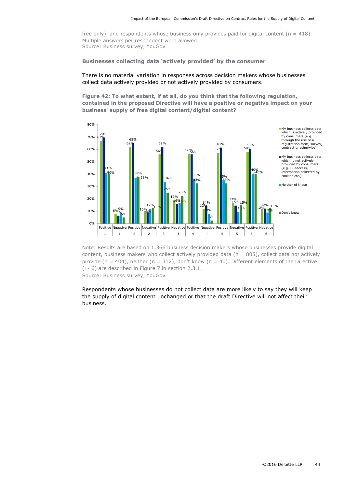free only), and respondents whose business only provides paid for digital content ( $n = 418$ ). Multiple answers per respondent were allowed. Source: Business survey, YouGov

#### **Businesses collecting data 'actively provided' by the consumer**

## There is no material variation in responses across decision makers whose businesses collect data actively provided or not actively provided by consumers.

**Figure 42: To what extent, if at all, do you think that the following regulation, contained in the proposed Directive will have a positive or negative impact on your business' supply of free digital content/digital content?**



Note: Results are based on 1,366 business decision makers whose businesses provide digital content, business makers who collect actively provided data ( $n = 805$ ), collect data not actively provide (n = 404), neither (n = 312), don't know (n = 40). Different elements of the Directive (1- 6) are described in [Figure 7](#page-19-0) in section [2.3.1.](#page-18-1) Source: Business survey, YouGov

Respondents whose businesses do not collect data are more likely to say they will keep the supply of digital content unchanged or that the draft Directive will not affect their business.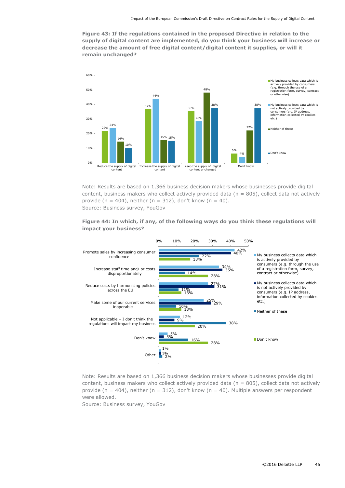**Figure 43: If the regulations contained in the proposed Directive in relation to the supply of digital content are implemented, do you think your business will increase or decrease the amount of free digital content/digital content it supplies, or will it remain unchanged?**



Note: Results are based on 1,366 business decision makers whose businesses provide digital content, business makers who collect actively provided data ( $n = 805$ ), collect data not actively provide (n = 404), neither (n = 312), don't know (n = 40). Source: Business survey, YouGov





Note: Results are based on 1,366 business decision makers whose businesses provide digital content, business makers who collect actively provided data ( $n = 805$ ), collect data not actively provide (n = 404), neither (n = 312), don't know (n = 40). Multiple answers per respondent were allowed.

Source: Business survey, YouGov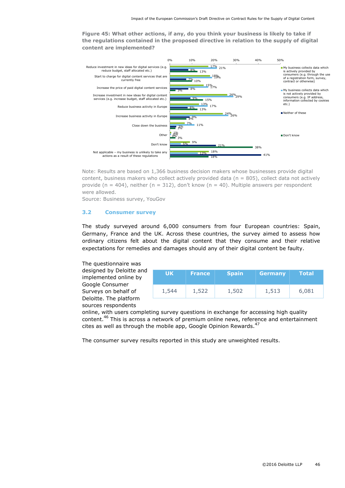**Figure 45: What other actions, if any, do you think your business is likely to take if the regulations contained in the proposed directive in relation to the supply of digital content are implemented?**



Note: Results are based on 1,366 business decision makers whose businesses provide digital content, business makers who collect actively provided data ( $n = 805$ ), collect data not actively provide (n = 404), neither (n = 312), don't know (n = 40). Multiple answers per respondent were allowed.

Source: Business survey, YouGov

#### <span id="page-46-0"></span>**3.2 Consumer survey**

The study surveyed around 6,000 consumers from four European countries: Spain, Germany, France and the UK. Across these countries, the survey aimed to assess how ordinary citizens felt about the digital content that they consume and their relative expectations for remedies and damages should any of their digital content be faulty.

The questionnaire was designed by Deloitte and implemented online by Google Consumer Surveys on behalf of Deloitte. The platform sources respondents

| <b>UK</b> | <b>France</b> | <b>Spain</b> | <b>Germany</b> | <b>Total</b> |
|-----------|---------------|--------------|----------------|--------------|
| 1,544     | 1,522         | 1,502        | 1,513          | 6,081        |

online, with users completing survey questions in exchange for accessing high quality content.<sup>46</sup> This is across a network of premium online news, reference and entertainment cites as well as through the mobile app, Google Opinion Rewards.<sup>47</sup>

The consumer survey results reported in this study are unweighted results.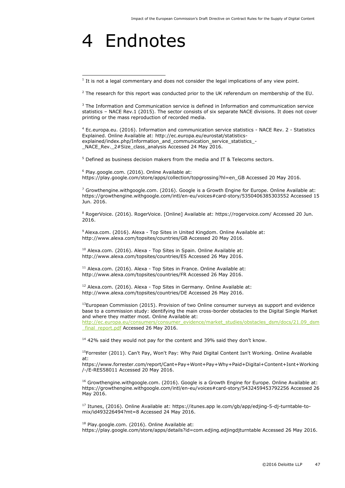## <span id="page-47-0"></span>4 Endnotes

i,

 $2$  The research for this report was conducted prior to the UK referendum on membership of the EU.

 $3$  The Information and Communication service is defined in Information and communication service statistics – NACE Rev.1 (2015). The sector consists of six separate NACE divisions. It does not cover printing or the mass reproduction of recorded media.

<sup>4</sup> Ec.europa.eu. (2016). Information and communication service statistics - NACE Rev. 2 - Statistics Explained. Online Available at: http://ec.europa.eu/eurostat/statisticsexplained/index.php/Information\_and\_communication\_service\_statistics\_- \_NACE\_Rev.\_2#Size\_class\_analysis Accessed 24 May 2016.

<sup>5</sup> Defined as business decision makers from the media and IT & Telecoms sectors.

<sup>6</sup> Play.google.com. (2016). Online Available at: https://play.google.com/store/apps/collection/topgrossing?hl=en\_GB Accessed 20 May 2016.

 $7$  Growthengine.withgoogle.com. (2016). Google is a Growth Engine for Europe. Online Available at: https://growthengine.withgoogle.com/intl/en-eu/voices#card-story/5350406385303552 Accessed 15 Jun. 2016.

<sup>8</sup> RogerVoice. (2016). RogerVoice. [Online] Available at: https://rogervoice.com/ Accessed 20 Jun. 2016.

<sup>9</sup> Alexa.com. (2016). Alexa - Top Sites in United Kingdom. Online Available at: http://www.alexa.com/topsites/countries/GB Accessed 20 May 2016.

 $10$  Alexa.com. (2016). Alexa - Top Sites in Spain. Online Available at: http://www.alexa.com/topsites/countries/ES Accessed 26 May 2016.

<sup>11</sup> Alexa.com. (2016). Alexa - Top Sites in France. Online Available at: http://www.alexa.com/topsites/countries/FR Accessed 26 May 2016.

<sup>12</sup> Alexa.com. (2016). Alexa - Top Sites in Germany. Online Available at: http://www.alexa.com/topsites/countries/DE Accessed 26 May 2016.

<sup>13</sup>European Commission (2015). Provision of two Online consumer surveys as support and evidence base to a commission study: identifying the main cross-border obstacles to the Digital Single Market and where they matter most. Online Available at:

[http://ec.europa.eu/consumers/consumer\\_evidence/market\\_studies/obstacles\\_dsm/docs/21.09\\_dsm](http://ec.europa.eu/consumers/consumer_evidence/market_studies/obstacles_dsm/docs/21.09_dsm_final_report.pdf) final\_report.pdf Accessed 26 May 2016.

 $14$  42% said they would not pay for the content and 39% said they don't know.

<sup>15</sup>Forrester (2011). Can't Pay, Won't Pay: Why Paid Digital Content Isn't Working. Online Available at:

https://www.forrester.com/report/Cant+Pay+Wont+Pay+Why+Paid+Digital+Content+Isnt+Working /-/E-RES58011 Accessed 20 May 2016.

 $16$  Growthengine.withgoogle.com. (2016). Google is a Growth Engine for Europe. Online Available at: https://growthengine.withgoogle.com/intl/en-eu/voices#card-story/5432459453792256 Accessed 26 May 2016.

<sup>17</sup> Itunes, (2016). Online Available at: https://itunes.app le.com/gb/app/edjing-5-dj-turntable-tomix/id493226494?mt=8 Accessed 24 May 2016.

<sup>18</sup> Play.google.com. (2016). Online Available at:

https://play.google.com/store/apps/details?id=com.edjing.edjingdjturntable Accessed 26 May 2016.

 $<sup>1</sup>$  It is not a legal commentary and does not consider the legal implications of any view point.</sup>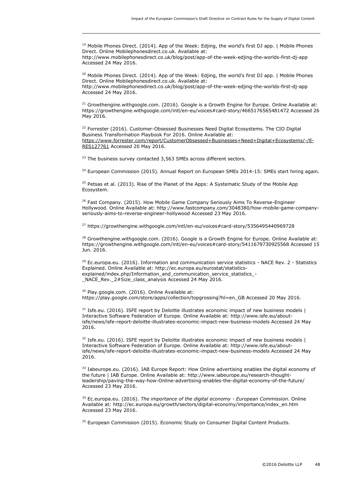<sup>19</sup> Mobile Phones Direct. (2014). App of the Week: Edjing, the world's first DJ app. | Mobile Phones Direct. Online Mobilephonesdirect.co.uk. Available at:

http://www.mobilephonesdirect.co.uk/blog/post/app-of-the-week-edjing-the-worlds-first-dj-app Accessed 24 May 2016.

<sup>20</sup> Mobile Phones Direct. (2014). App of the Week: Edjing, the world's first DJ app. | Mobile Phones Direct. Online Mobilephonesdirect.co.uk. Available at: http://www.mobilephonesdirect.co.uk/blog/post/app-of-the-week-edjing-the-worlds-first-dj-app Accessed 24 May 2016.

<sup>21</sup> Growthengine.withgoogle.com. (2016). Google is a Growth Engine for Europe. Online Available at: https://growthengine.withgoogle.com/intl/en-eu/voices#card-story/4665176565481472 Accessed 26 May 2016.

<sup>22</sup> Forrester (2016). Customer-Obsessed Businesses Need Digital Ecosystems. The CIO Digital Business Transformation Playbook For 2016. Online Available at: [https://www.forrester.com/report/CustomerObsessed+Businesses+Need+Digital+Ecosystems/-/E-](https://www.forrester.com/report/CustomerObsessed+Businesses+Need+Digital+Ecosystems/-/E-RES127761)[RES127761](https://www.forrester.com/report/CustomerObsessed+Businesses+Need+Digital+Ecosystems/-/E-RES127761) Accessed 20 May 2016.

<sup>23</sup> The business survey contacted 3,563 SMEs across different sectors.

-

<sup>24</sup> European Commission (2015). Annual Report on European SMEs 2014-15: SMEs start hiring again.

<sup>25</sup> Petsas et al. (2013). Rise of the Planet of the Apps: A Systematic Study of the Mobile App Ecosystem.

<sup>26</sup> Fast Company. (2015). How Mobile Game Company Seriously Aims To Reverse-Engineer Hollywood. Online Available at: http://www.fastcompany.com/3048380/how-mobile-game-companyseriously-aims-to-reverse-engineer-hollywood Accessed 23 May 2016.

<sup>27</sup> https://growthengine.withgoogle.com/intl/en-eu/voices#card-story/5356495440969728

<sup>28</sup> Growthengine.withgoogle.com. (2016). Google is a Growth Engine for Europe. Online Available at: https://growthengine.withgoogle.com/intl/en-eu/voices#card-story/5411679730925568 Accessed 15 Jun. 2016.

 $29$  Ec.europa.eu. (2016). Information and communication service statistics - NACE Rev. 2 - Statistics Explained. Online Available at: http://ec.europa.eu/eurostat/statisticsexplained/index.php/Information\_and\_communication\_service\_statistics\_-\_NACE\_Rev.\_2#Size\_class\_analysis Accessed 24 May 2016.

<sup>30</sup> Play.google.com. (2016). Online Available at: https://play.google.com/store/apps/collection/topgrossing?hl=en\_GB Accessed 20 May 2016.

 $31$  Isfe.eu. (2016). ISFE report by Deloitte illustrates economic impact of new business models | Interactive Software Federation of Europe. Online Available at: http://www.isfe.eu/aboutisfe/news/isfe-report-deloitte-illustrates-economic-impact-new-business-models Accessed 24 May 2016.

 $32$  Isfe.eu. (2016). ISFE report by Deloitte illustrates economic impact of new business models  $|$ Interactive Software Federation of Europe. Online Available at: http://www.isfe.eu/aboutisfe/news/isfe-report-deloitte-illustrates-economic-impact-new-business-models Accessed 24 May 2016.

<sup>33</sup> Iabeurope.eu. (2016). IAB Europe Report: How Online advertising enables the digital economy of the future | IAB Europe. Online Available at: http://www.iabeurope.eu/research-thoughtleadership/paving-the-way-how-Online-advertising-enables-the-digital-economy-of-the-future/ Accessed 23 May 2016.

<sup>34</sup> Ec.europa.eu. (2016). *The importance of the digital economy - European Commission*. Online Available at: http://ec.europa.eu/growth/sectors/digital-economy/importance/index\_en.htm Accessed 23 May 2016.

<sup>35</sup> European Commission (2015). Economic Study on Consumer Digital Content Products.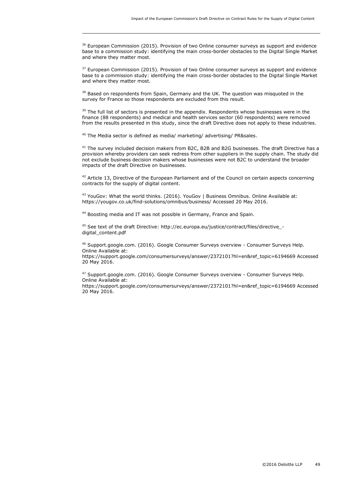<sup>36</sup> European Commission (2015). Provision of two Online consumer surveys as support and evidence base to a commission study: identifying the main cross-border obstacles to the Digital Single Market and where they matter most.

<sup>37</sup> European Commission (2015). Provision of two Online consumer surveys as support and evidence base to a commission study: identifying the main cross-border obstacles to the Digital Single Market and where they matter most.

<sup>38</sup> Based on respondents from Spain, Germany and the UK. The question was misquoted in the survey for France so those respondents are excluded from this result.

<sup>39</sup> The full list of sectors is presented in the appendix. Respondents whose businesses were in the finance (88 respondents) and medical and health services sector (60 respondents) were removed from the results presented in this study, since the draft Directive does not apply to these industries.

<sup>40</sup> The Media sector is defined as media/ marketing/ advertising/ PR&sales.

-

<sup>41</sup> The survey included decision makers from B2C, B2B and B2G businesses. The draft Directive has a provision whereby providers can seek redress from other suppliers in the supply chain. The study did not exclude business decision makers whose businesses were not B2C to understand the broader impacts of the draft Directive on businesses.

 $42$  Article 13, Directive of the European Parliament and of the Council on certain aspects concerning contracts for the supply of digital content.

<sup>43</sup> YouGov: What the world thinks. (2016). YouGov | Business Omnibus. Online Available at: https://yougov.co.uk/find-solutions/omnibus/business/ Accessed 20 May 2016.

44 Boosting media and IT was not possible in Germany, France and Spain.

45 See text of the draft Directive: http://ec.europa.eu/justice/contract/files/directive\_digital\_content.pdf

<sup>46</sup> Support.google.com. (2016). Google Consumer Surveys overview - Consumer Surveys Help. Online Available at:

https://support.google.com/consumersurveys/answer/2372101?hl=en&ref\_topic=6194669 Accessed 20 May 2016.

<sup>47</sup> Support.google.com. (2016). Google Consumer Surveys overview - Consumer Surveys Help. Online Available at:

https://support.google.com/consumersurveys/answer/2372101?hl=en&ref\_topic=6194669 Accessed 20 May 2016.